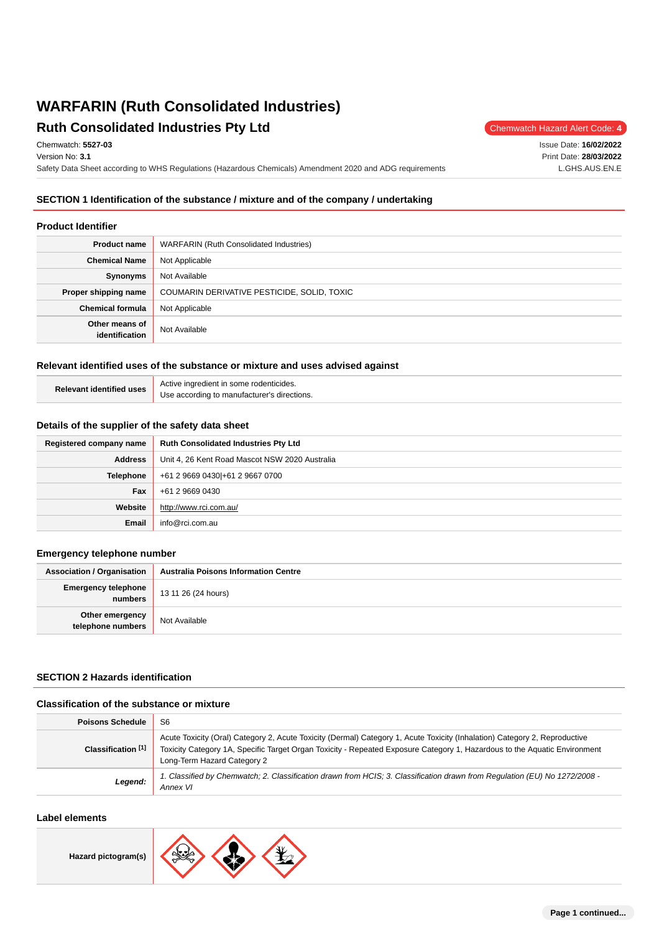# **WARFARIN (Ruth Consolidated Industries) Ruth Consolidated Industries Pty Ltd** Chemwatch Hazard Alert Code: 4

Chemwatch: **5527-03**

Version No: **3.1**

Safety Data Sheet according to WHS Regulations (Hazardous Chemicals) Amendment 2020 and ADG requirements

# **SECTION 1 Identification of the substance / mixture and of the company / undertaking**

#### **Product Identifier**

| <b>Product name</b>              | <b>WARFARIN (Ruth Consolidated Industries)</b> |
|----------------------------------|------------------------------------------------|
| <b>Chemical Name</b>             | Not Applicable                                 |
| Synonyms                         | Not Available                                  |
| Proper shipping name             | COUMARIN DERIVATIVE PESTICIDE, SOLID, TOXIC    |
| <b>Chemical formula</b>          | Not Applicable                                 |
| Other means of<br>identification | Not Available                                  |

# **Relevant identified uses of the substance or mixture and uses advised against**

| Relevant identified uses | Active ingredient in some rodenticides.     |
|--------------------------|---------------------------------------------|
|                          | Use according to manufacturer's directions. |

#### **Details of the supplier of the safety data sheet**

| Registered company name | <b>Ruth Consolidated Industries Pty Ltd</b>    |
|-------------------------|------------------------------------------------|
| <b>Address</b>          | Unit 4, 26 Kent Road Mascot NSW 2020 Australia |
| Telephone               | +61 2 9669 0430 + 61 2 9667 0700               |
| <b>Fax</b>              | +61 2 9669 0430                                |
| Website                 | http://www.rci.com.au/                         |
| Email                   | info@rci.com.au                                |

### **Emergency telephone number**

| <b>Association / Organisation</b>     | <b>Australia Poisons Information Centre</b> |
|---------------------------------------|---------------------------------------------|
| <b>Emergency telephone</b><br>numbers | 13 11 26 (24 hours)                         |
| Other emergency<br>telephone numbers  | Not Available                               |

# **SECTION 2 Hazards identification**

#### **Classification of the substance or mixture**

| <b>Poisons Schedule</b> | S <sub>6</sub>                                                                                                                                                                                                                                                                         |
|-------------------------|----------------------------------------------------------------------------------------------------------------------------------------------------------------------------------------------------------------------------------------------------------------------------------------|
| Classification [1]      | Acute Toxicity (Oral) Category 2, Acute Toxicity (Dermal) Category 1, Acute Toxicity (Inhalation) Category 2, Reproductive<br>Toxicity Category 1A, Specific Target Organ Toxicity - Repeated Exposure Category 1, Hazardous to the Aquatic Environment<br>Long-Term Hazard Category 2 |
| Legend:                 | 1. Classified by Chemwatch; 2. Classification drawn from HCIS; 3. Classification drawn from Regulation (EU) No 1272/2008 -<br>Annex VI                                                                                                                                                 |

### **Label elements**



Issue Date: **16/02/2022** Print Date: **28/03/2022** L.GHS.AUS.EN.E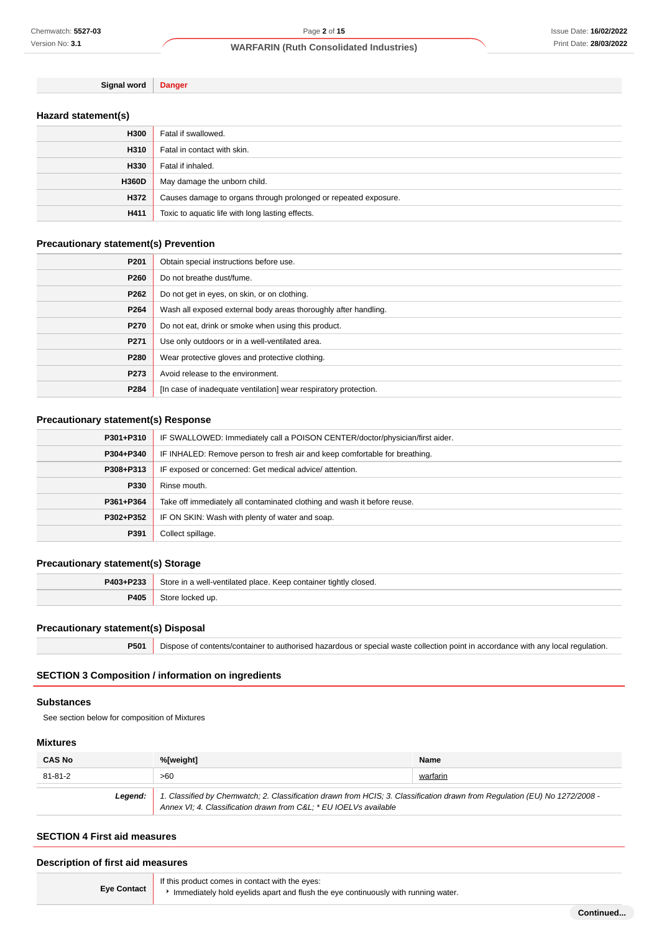**Signal word Danger**

# **Hazard statement(s)**

| H300         | Fatal if swallowed.                                             |
|--------------|-----------------------------------------------------------------|
| H310         | Fatal in contact with skin.                                     |
| H330         | Fatal if inhaled.                                               |
| <b>H360D</b> | May damage the unborn child.                                    |
| H372         | Causes damage to organs through prolonged or repeated exposure. |
| H411         | Toxic to aquatic life with long lasting effects.                |

# **Precautionary statement(s) Prevention**

| P201 | Obtain special instructions before use.                          |
|------|------------------------------------------------------------------|
| P260 | Do not breathe dust/fume.                                        |
| P262 | Do not get in eyes, on skin, or on clothing.                     |
| P264 | Wash all exposed external body areas thoroughly after handling.  |
| P270 | Do not eat, drink or smoke when using this product.              |
| P271 | Use only outdoors or in a well-ventilated area.                  |
| P280 | Wear protective gloves and protective clothing.                  |
| P273 | Avoid release to the environment.                                |
| P284 | [In case of inadequate ventilation] wear respiratory protection. |

# **Precautionary statement(s) Response**

| P301+P310 | IF SWALLOWED: Immediately call a POISON CENTER/doctor/physician/first aider. |
|-----------|------------------------------------------------------------------------------|
| P304+P340 | IF INHALED: Remove person to fresh air and keep comfortable for breathing.   |
| P308+P313 | IF exposed or concerned: Get medical advice/attention.                       |
| P330      | Rinse mouth.                                                                 |
| P361+P364 | Take off immediately all contaminated clothing and wash it before reuse.     |
| P302+P352 | IF ON SKIN: Wash with plenty of water and soap.                              |
| P391      | Collect spillage.                                                            |

# **Precautionary statement(s) Storage**

| P403+P233 | Store in a well-ventilated place. Keep container tightly closed. |  |
|-----------|------------------------------------------------------------------|--|
| P405      | Store locked up.                                                 |  |

### **Precautionary statement(s) Disposal**

| P501   Dispose of contents/container to authorised hazardous or special waste collection point in accordance with any local regulation. |  |
|-----------------------------------------------------------------------------------------------------------------------------------------|--|

# **SECTION 3 Composition / information on ingredients**

#### **Substances**

See section below for composition of Mixtures

#### **Mixtures**

| <b>CAS No</b>                                                                                                                                                                                             | %[weight] | <b>Name</b> |
|-----------------------------------------------------------------------------------------------------------------------------------------------------------------------------------------------------------|-----------|-------------|
| 81-81-2                                                                                                                                                                                                   | >60       | warfarin    |
| 1. Classified by Chemwatch; 2. Classification drawn from HCIS; 3. Classification drawn from Regulation (EU) No 1272/2008 -<br>Leaend:<br>Annex VI; 4. Classification drawn from C&L * EU IOELVs available |           |             |

# **SECTION 4 First aid measures**

# **Description of first aid measures**

|                    | If this product comes in contact with the eyes:                                   |
|--------------------|-----------------------------------------------------------------------------------|
| <b>Eve Contact</b> | Immediately hold eyelids apart and flush the eye continuously with running water. |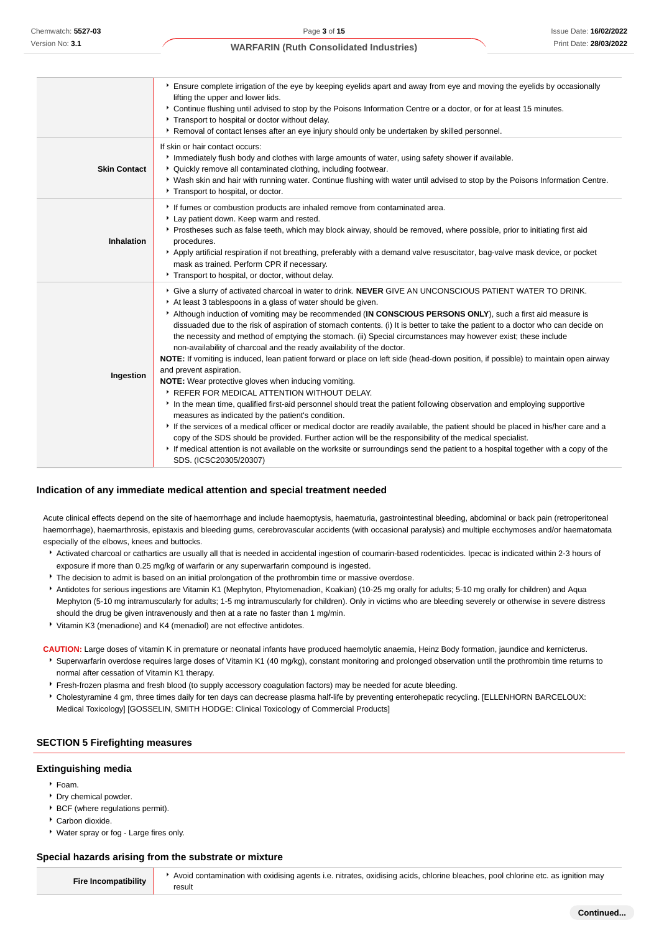|                     | ▶ Ensure complete irrigation of the eye by keeping eyelids apart and away from eye and moving the eyelids by occasionally<br>lifting the upper and lower lids.<br>▶ Continue flushing until advised to stop by the Poisons Information Centre or a doctor, or for at least 15 minutes.<br>Transport to hospital or doctor without delay.<br>▶ Removal of contact lenses after an eye injury should only be undertaken by skilled personnel.                                                                                                                                                                                                                                                                                                                                                                                                                                                                                                                                                                                                                                                                                                                                                                                                                                                                                                                                                                                                                                                |
|---------------------|--------------------------------------------------------------------------------------------------------------------------------------------------------------------------------------------------------------------------------------------------------------------------------------------------------------------------------------------------------------------------------------------------------------------------------------------------------------------------------------------------------------------------------------------------------------------------------------------------------------------------------------------------------------------------------------------------------------------------------------------------------------------------------------------------------------------------------------------------------------------------------------------------------------------------------------------------------------------------------------------------------------------------------------------------------------------------------------------------------------------------------------------------------------------------------------------------------------------------------------------------------------------------------------------------------------------------------------------------------------------------------------------------------------------------------------------------------------------------------------------|
| <b>Skin Contact</b> | If skin or hair contact occurs:<br>Immediately flush body and clothes with large amounts of water, using safety shower if available.<br>* Quickly remove all contaminated clothing, including footwear.<br>▶ Wash skin and hair with running water. Continue flushing with water until advised to stop by the Poisons Information Centre.<br>Transport to hospital, or doctor.                                                                                                                                                                                                                                                                                                                                                                                                                                                                                                                                                                                                                                                                                                                                                                                                                                                                                                                                                                                                                                                                                                             |
| Inhalation          | If fumes or combustion products are inhaled remove from contaminated area.<br>Lay patient down. Keep warm and rested.<br>Prostheses such as false teeth, which may block airway, should be removed, where possible, prior to initiating first aid<br>procedures.<br>Apply artificial respiration if not breathing, preferably with a demand valve resuscitator, bag-valve mask device, or pocket<br>mask as trained. Perform CPR if necessary.<br>Transport to hospital, or doctor, without delay.                                                                                                                                                                                                                                                                                                                                                                                                                                                                                                                                                                                                                                                                                                                                                                                                                                                                                                                                                                                         |
| Ingestion           | Give a slurry of activated charcoal in water to drink. NEVER GIVE AN UNCONSCIOUS PATIENT WATER TO DRINK.<br>At least 3 tablespoons in a glass of water should be given.<br>Although induction of vomiting may be recommended (IN CONSCIOUS PERSONS ONLY), such a first aid measure is<br>dissuaded due to the risk of aspiration of stomach contents. (i) It is better to take the patient to a doctor who can decide on<br>the necessity and method of emptying the stomach. (ii) Special circumstances may however exist; these include<br>non-availability of charcoal and the ready availability of the doctor.<br>NOTE: If vomiting is induced, lean patient forward or place on left side (head-down position, if possible) to maintain open airway<br>and prevent aspiration.<br>NOTE: Wear protective gloves when inducing vomiting.<br>▶ REFER FOR MEDICAL ATTENTION WITHOUT DELAY.<br>In the mean time, qualified first-aid personnel should treat the patient following observation and employing supportive<br>measures as indicated by the patient's condition.<br>If the services of a medical officer or medical doctor are readily available, the patient should be placed in his/her care and a<br>copy of the SDS should be provided. Further action will be the responsibility of the medical specialist.<br>If medical attention is not available on the worksite or surroundings send the patient to a hospital together with a copy of the<br>SDS. (ICSC20305/20307) |

#### **Indication of any immediate medical attention and special treatment needed**

Acute clinical effects depend on the site of haemorrhage and include haemoptysis, haematuria, gastrointestinal bleeding, abdominal or back pain (retroperitoneal haemorrhage), haemarthrosis, epistaxis and bleeding gums, cerebrovascular accidents (with occasional paralysis) and multiple ecchymoses and/or haematomata especially of the elbows, knees and buttocks.

- \* Activated charcoal or cathartics are usually all that is needed in accidental ingestion of coumarin-based rodenticides. Ipecac is indicated within 2-3 hours of exposure if more than 0.25 mg/kg of warfarin or any superwarfarin compound is ingested.
- **The decision to admit is based on an initial prolongation of the prothrombin time or massive overdose.**
- Antidotes for serious ingestions are Vitamin K1 (Mephyton, Phytomenadion, Koakian) (10-25 mg orally for adults; 5-10 mg orally for children) and Aqua Mephyton (5-10 mg intramuscularly for adults; 1-5 mg intramuscularly for children). Only in victims who are bleeding severely or otherwise in severe distress should the drug be given intravenously and then at a rate no faster than 1 mg/min.
- Vitamin K3 (menadione) and K4 (menadiol) are not effective antidotes.

**CAUTION:** Large doses of vitamin K in premature or neonatal infants have produced haemolytic anaemia, Heinz Body formation, jaundice and kernicterus.

- Superwarfarin overdose requires large doses of Vitamin K1 (40 mg/kg), constant monitoring and prolonged observation until the prothrombin time returns to normal after cessation of Vitamin K1 therapy.
- Fresh-frozen plasma and fresh blood (to supply accessory coagulation factors) may be needed for acute bleeding.
- **F** Cholestyramine 4 gm, three times daily for ten days can decrease plasma half-life by preventing enterohepatic recycling. [ELLENHORN BARCELOUX: Medical Toxicology] [GOSSELIN, SMITH HODGE: Clinical Toxicology of Commercial Products]

#### **SECTION 5 Firefighting measures**

#### **Extinguishing media**

- Foam.
- **Dry chemical powder.**
- **BCF** (where regulations permit).
- Carbon dioxide.
- Water spray or fog Large fires only.

#### **Special hazards arising from the substrate or mixture**

**Fire Incompatibility** Avoid contamination with oxidising agents i.e. nitrates, oxidising acids, chlorine bleaches, pool chlorine etc. as ignition may result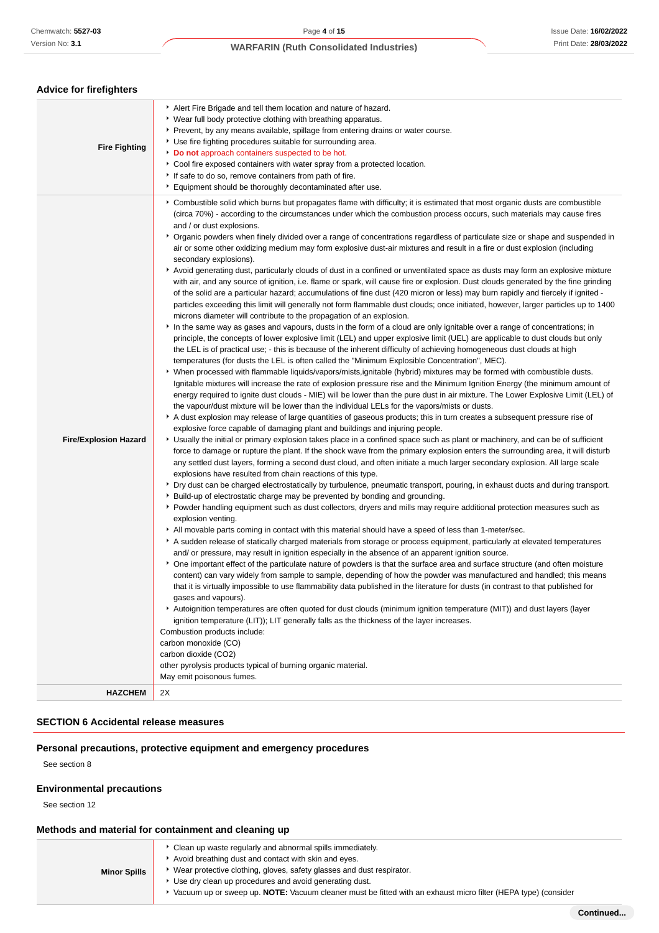**Advice for firefighters**

# **WARFARIN (Ruth Consolidated Industries)**

| <b>Fire Fighting</b>                           | Alert Fire Brigade and tell them location and nature of hazard.<br>▶ Wear full body protective clothing with breathing apparatus.<br>▶ Prevent, by any means available, spillage from entering drains or water course.<br>▶ Use fire fighting procedures suitable for surrounding area.<br>Do not approach containers suspected to be hot.<br>▶ Cool fire exposed containers with water spray from a protected location.<br>If safe to do so, remove containers from path of fire.<br>Equipment should be thoroughly decontaminated after use.                                                                                                                                                                                                                                                                                                                                                                                                                                                                                                                                                                                                                                                                                                                                                                                                                                                                                                                                                                                                                                                                                                                                                                                                                                                                                                                                                                                                                                                                                                                                                                                                                                                                                                                                                                                                                                                                                                                                                                                                                                                                                                                                                                                                                                                                                                                                                                                                                                                                                                                                                                                                                                                                                                                                                                                                                                                                                                                                                                                                                                                                                                                                                                                                                                                                                                                                                                                                                                                                                                                                                                                                                                                                                                                                                                                                                                                                                |
|------------------------------------------------|-------------------------------------------------------------------------------------------------------------------------------------------------------------------------------------------------------------------------------------------------------------------------------------------------------------------------------------------------------------------------------------------------------------------------------------------------------------------------------------------------------------------------------------------------------------------------------------------------------------------------------------------------------------------------------------------------------------------------------------------------------------------------------------------------------------------------------------------------------------------------------------------------------------------------------------------------------------------------------------------------------------------------------------------------------------------------------------------------------------------------------------------------------------------------------------------------------------------------------------------------------------------------------------------------------------------------------------------------------------------------------------------------------------------------------------------------------------------------------------------------------------------------------------------------------------------------------------------------------------------------------------------------------------------------------------------------------------------------------------------------------------------------------------------------------------------------------------------------------------------------------------------------------------------------------------------------------------------------------------------------------------------------------------------------------------------------------------------------------------------------------------------------------------------------------------------------------------------------------------------------------------------------------------------------------------------------------------------------------------------------------------------------------------------------------------------------------------------------------------------------------------------------------------------------------------------------------------------------------------------------------------------------------------------------------------------------------------------------------------------------------------------------------------------------------------------------------------------------------------------------------------------------------------------------------------------------------------------------------------------------------------------------------------------------------------------------------------------------------------------------------------------------------------------------------------------------------------------------------------------------------------------------------------------------------------------------------------------------------------------------------------------------------------------------------------------------------------------------------------------------------------------------------------------------------------------------------------------------------------------------------------------------------------------------------------------------------------------------------------------------------------------------------------------------------------------------------------------------------------------------------------------------------------------------------------------------------------------------------------------------------------------------------------------------------------------------------------------------------------------------------------------------------------------------------------------------------------------------------------------------------------------------------------------------------------------------------------------------------------------------------------------------------------------------------|
| <b>Fire/Explosion Hazard</b><br><b>HAZCHEM</b> | ▶ Combustible solid which burns but propagates flame with difficulty; it is estimated that most organic dusts are combustible<br>(circa 70%) - according to the circumstances under which the combustion process occurs, such materials may cause fires<br>and / or dust explosions.<br>▶ Organic powders when finely divided over a range of concentrations regardless of particulate size or shape and suspended in<br>air or some other oxidizing medium may form explosive dust-air mixtures and result in a fire or dust explosion (including<br>secondary explosions).<br>Avoid generating dust, particularly clouds of dust in a confined or unventilated space as dusts may form an explosive mixture<br>with air, and any source of ignition, i.e. flame or spark, will cause fire or explosion. Dust clouds generated by the fine grinding<br>of the solid are a particular hazard; accumulations of fine dust (420 micron or less) may burn rapidly and fiercely if ignited -<br>particles exceeding this limit will generally not form flammable dust clouds; once initiated, however, larger particles up to 1400<br>microns diameter will contribute to the propagation of an explosion.<br>In the same way as gases and vapours, dusts in the form of a cloud are only ignitable over a range of concentrations; in<br>principle, the concepts of lower explosive limit (LEL) and upper explosive limit (UEL) are applicable to dust clouds but only<br>the LEL is of practical use; - this is because of the inherent difficulty of achieving homogeneous dust clouds at high<br>temperatures (for dusts the LEL is often called the "Minimum Explosible Concentration", MEC).<br>▶ When processed with flammable liquids/vapors/mists,ignitable (hybrid) mixtures may be formed with combustible dusts.<br>Ignitable mixtures will increase the rate of explosion pressure rise and the Minimum Ignition Energy (the minimum amount of<br>energy required to ignite dust clouds - MIE) will be lower than the pure dust in air mixture. The Lower Explosive Limit (LEL) of<br>the vapour/dust mixture will be lower than the individual LELs for the vapors/mists or dusts.<br>A dust explosion may release of large quantities of gaseous products; this in turn creates a subsequent pressure rise of<br>explosive force capable of damaging plant and buildings and injuring people.<br>▶ Usually the initial or primary explosion takes place in a confined space such as plant or machinery, and can be of sufficient<br>force to damage or rupture the plant. If the shock wave from the primary explosion enters the surrounding area, it will disturb<br>any settled dust layers, forming a second dust cloud, and often initiate a much larger secondary explosion. All large scale<br>explosions have resulted from chain reactions of this type.<br>▶ Dry dust can be charged electrostatically by turbulence, pneumatic transport, pouring, in exhaust ducts and during transport.<br>▶ Build-up of electrostatic charge may be prevented by bonding and grounding.<br>▶ Powder handling equipment such as dust collectors, dryers and mills may require additional protection measures such as<br>explosion venting.<br>All movable parts coming in contact with this material should have a speed of less than 1-meter/sec.<br>A sudden release of statically charged materials from storage or process equipment, particularly at elevated temperatures<br>and/ or pressure, may result in ignition especially in the absence of an apparent ignition source.<br>▶ One important effect of the particulate nature of powders is that the surface area and surface structure (and often moisture<br>content) can vary widely from sample to sample, depending of how the powder was manufactured and handled; this means<br>that it is virtually impossible to use flammability data published in the literature for dusts (in contrast to that published for<br>gases and vapours).<br>Autoignition temperatures are often quoted for dust clouds (minimum ignition temperature (MIT)) and dust layers (layer<br>ignition temperature (LIT); LIT generally falls as the thickness of the layer increases.<br>Combustion products include:<br>carbon monoxide (CO)<br>carbon dioxide (CO2)<br>other pyrolysis products typical of burning organic material.<br>May emit poisonous fumes.<br>2X |
|                                                |                                                                                                                                                                                                                                                                                                                                                                                                                                                                                                                                                                                                                                                                                                                                                                                                                                                                                                                                                                                                                                                                                                                                                                                                                                                                                                                                                                                                                                                                                                                                                                                                                                                                                                                                                                                                                                                                                                                                                                                                                                                                                                                                                                                                                                                                                                                                                                                                                                                                                                                                                                                                                                                                                                                                                                                                                                                                                                                                                                                                                                                                                                                                                                                                                                                                                                                                                                                                                                                                                                                                                                                                                                                                                                                                                                                                                                                                                                                                                                                                                                                                                                                                                                                                                                                                                                                                                                                                                               |

# **SECTION 6 Accidental release measures**

# **Personal precautions, protective equipment and emergency procedures**

See section 8

#### **Environmental precautions**

See section 12

# **Methods and material for containment and cleaning up**

|                     | • Clean up waste regularly and abnormal spills immediately.                                                     |
|---------------------|-----------------------------------------------------------------------------------------------------------------|
|                     | Avoid breathing dust and contact with skin and eyes.                                                            |
| <b>Minor Spills</b> | • Wear protective clothing, gloves, safety glasses and dust respirator.                                         |
|                     | ▶ Use dry clean up procedures and avoid generating dust.                                                        |
|                     | ▶ Vacuum up or sweep up. NOTE: Vacuum cleaner must be fitted with an exhaust micro filter (HEPA type) (consider |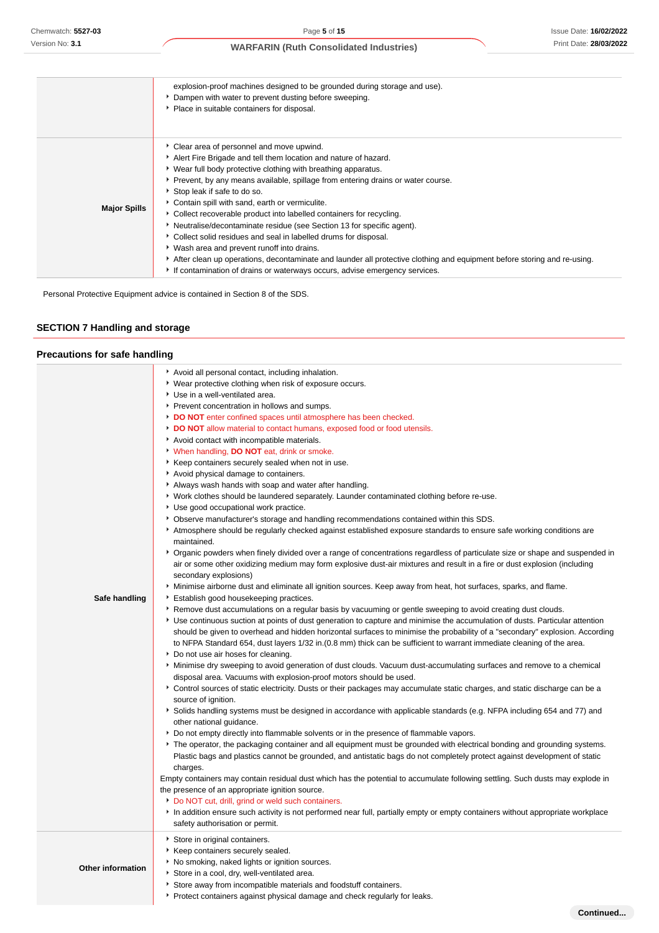|                     | explosion-proof machines designed to be grounded during storage and use).<br>Dampen with water to prevent dusting before sweeping.<br>• Place in suitable containers for disposal.                                                                                                                                                                                                                                                                                                                                                                                                                                                                                                                                                                                                                                                 |
|---------------------|------------------------------------------------------------------------------------------------------------------------------------------------------------------------------------------------------------------------------------------------------------------------------------------------------------------------------------------------------------------------------------------------------------------------------------------------------------------------------------------------------------------------------------------------------------------------------------------------------------------------------------------------------------------------------------------------------------------------------------------------------------------------------------------------------------------------------------|
| <b>Major Spills</b> | Clear area of personnel and move upwind.<br>Alert Fire Brigade and tell them location and nature of hazard.<br>• Wear full body protective clothing with breathing apparatus.<br>▶ Prevent, by any means available, spillage from entering drains or water course.<br>Stop leak if safe to do so.<br>• Contain spill with sand, earth or vermiculite.<br>• Collect recoverable product into labelled containers for recycling.<br>Neutralise/decontaminate residue (see Section 13 for specific agent).<br>Collect solid residues and seal in labelled drums for disposal.<br>▸ Wash area and prevent runoff into drains.<br>After clean up operations, decontaminate and launder all protective clothing and equipment before storing and re-using.<br>If contamination of drains or waterways occurs, advise emergency services. |

Personal Protective Equipment advice is contained in Section 8 of the SDS.

# **SECTION 7 Handling and storage**

# **Precautions for safe handling**

| Safe handling            | Avoid all personal contact, including inhalation.<br>▶ Wear protective clothing when risk of exposure occurs.<br>Use in a well-ventilated area.<br>Prevent concentration in hollows and sumps.<br>DO NOT enter confined spaces until atmosphere has been checked.<br>DO NOT allow material to contact humans, exposed food or food utensils.<br>Avoid contact with incompatible materials.<br>• When handling, DO NOT eat, drink or smoke.<br>Keep containers securely sealed when not in use.<br>Avoid physical damage to containers.<br>Always wash hands with soap and water after handling.<br>▶ Work clothes should be laundered separately. Launder contaminated clothing before re-use.<br>Use good occupational work practice.<br>▶ Observe manufacturer's storage and handling recommendations contained within this SDS.<br>Atmosphere should be regularly checked against established exposure standards to ensure safe working conditions are<br>maintained.<br>▶ Organic powders when finely divided over a range of concentrations regardless of particulate size or shape and suspended in<br>air or some other oxidizing medium may form explosive dust-air mixtures and result in a fire or dust explosion (including<br>secondary explosions)<br>Minimise airborne dust and eliminate all ignition sources. Keep away from heat, hot surfaces, sparks, and flame.<br>Establish good housekeeping practices.<br>▶ Remove dust accumulations on a regular basis by vacuuming or gentle sweeping to avoid creating dust clouds.<br>▶ Use continuous suction at points of dust generation to capture and minimise the accumulation of dusts. Particular attention<br>should be given to overhead and hidden horizontal surfaces to minimise the probability of a "secondary" explosion. According<br>to NFPA Standard 654, dust layers 1/32 in. (0.8 mm) thick can be sufficient to warrant immediate cleaning of the area.<br>Do not use air hoses for cleaning.<br>Minimise dry sweeping to avoid generation of dust clouds. Vacuum dust-accumulating surfaces and remove to a chemical<br>disposal area. Vacuums with explosion-proof motors should be used.<br>Control sources of static electricity. Dusts or their packages may accumulate static charges, and static discharge can be a<br>source of ignition.<br>Solids handling systems must be designed in accordance with applicable standards (e.g. NFPA including 654 and 77) and<br>other national guidance.<br>Do not empty directly into flammable solvents or in the presence of flammable vapors.<br>▶ The operator, the packaging container and all equipment must be grounded with electrical bonding and grounding systems.<br>Plastic bags and plastics cannot be grounded, and antistatic bags do not completely protect against development of static<br>charges.<br>Empty containers may contain residual dust which has the potential to accumulate following settling. Such dusts may explode in<br>the presence of an appropriate ignition source.<br>Do NOT cut, drill, grind or weld such containers.<br>In addition ensure such activity is not performed near full, partially empty or empty containers without appropriate workplace<br>safety authorisation or permit. |
|--------------------------|------------------------------------------------------------------------------------------------------------------------------------------------------------------------------------------------------------------------------------------------------------------------------------------------------------------------------------------------------------------------------------------------------------------------------------------------------------------------------------------------------------------------------------------------------------------------------------------------------------------------------------------------------------------------------------------------------------------------------------------------------------------------------------------------------------------------------------------------------------------------------------------------------------------------------------------------------------------------------------------------------------------------------------------------------------------------------------------------------------------------------------------------------------------------------------------------------------------------------------------------------------------------------------------------------------------------------------------------------------------------------------------------------------------------------------------------------------------------------------------------------------------------------------------------------------------------------------------------------------------------------------------------------------------------------------------------------------------------------------------------------------------------------------------------------------------------------------------------------------------------------------------------------------------------------------------------------------------------------------------------------------------------------------------------------------------------------------------------------------------------------------------------------------------------------------------------------------------------------------------------------------------------------------------------------------------------------------------------------------------------------------------------------------------------------------------------------------------------------------------------------------------------------------------------------------------------------------------------------------------------------------------------------------------------------------------------------------------------------------------------------------------------------------------------------------------------------------------------------------------------------------------------------------------------------------------------------------------------------------------------------------------------------------------------------------------------------------------------------------------------------------------------------------------------------------------------------------------------------------------------------------------------|
| <b>Other information</b> | Store in original containers.<br>▶ Keep containers securely sealed.<br>No smoking, naked lights or ignition sources.<br>Store in a cool, dry, well-ventilated area.<br>Store away from incompatible materials and foodstuff containers.<br>▶ Protect containers against physical damage and check regularly for leaks.                                                                                                                                                                                                                                                                                                                                                                                                                                                                                                                                                                                                                                                                                                                                                                                                                                                                                                                                                                                                                                                                                                                                                                                                                                                                                                                                                                                                                                                                                                                                                                                                                                                                                                                                                                                                                                                                                                                                                                                                                                                                                                                                                                                                                                                                                                                                                                                                                                                                                                                                                                                                                                                                                                                                                                                                                                                                                                                                                 |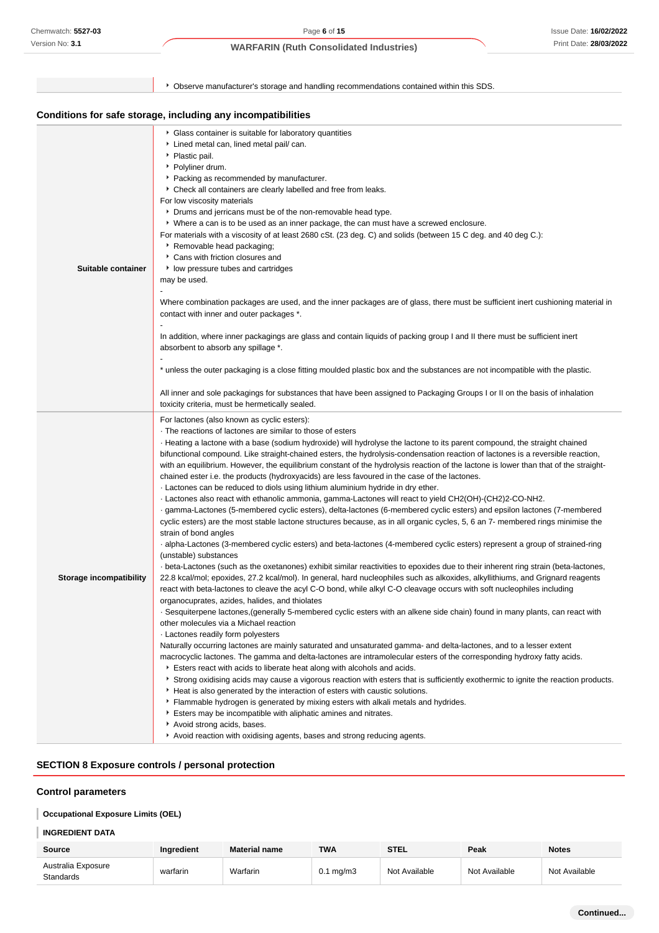|                                | ▶ Observe manufacturer's storage and handling recommendations contained within this SDS.                                                                                                                                                                                                                                                                                                                                                                                                                                                                                                                                                                                                                                                                                                                                                                                                                                                                                                                                                                                                                                                                                                                                                                                                                                                                                                                                                                                                                                                                                                                                                                                                                                                                                                                                                                                                                                                                                                                                                                                                                                                                                                                                                                                                                                                                                                                                                                                                                                                                                                                                                                                                                                                            |
|--------------------------------|-----------------------------------------------------------------------------------------------------------------------------------------------------------------------------------------------------------------------------------------------------------------------------------------------------------------------------------------------------------------------------------------------------------------------------------------------------------------------------------------------------------------------------------------------------------------------------------------------------------------------------------------------------------------------------------------------------------------------------------------------------------------------------------------------------------------------------------------------------------------------------------------------------------------------------------------------------------------------------------------------------------------------------------------------------------------------------------------------------------------------------------------------------------------------------------------------------------------------------------------------------------------------------------------------------------------------------------------------------------------------------------------------------------------------------------------------------------------------------------------------------------------------------------------------------------------------------------------------------------------------------------------------------------------------------------------------------------------------------------------------------------------------------------------------------------------------------------------------------------------------------------------------------------------------------------------------------------------------------------------------------------------------------------------------------------------------------------------------------------------------------------------------------------------------------------------------------------------------------------------------------------------------------------------------------------------------------------------------------------------------------------------------------------------------------------------------------------------------------------------------------------------------------------------------------------------------------------------------------------------------------------------------------------------------------------------------------------------------------------------------------|
|                                | Conditions for safe storage, including any incompatibilities                                                                                                                                                                                                                                                                                                                                                                                                                                                                                                                                                                                                                                                                                                                                                                                                                                                                                                                                                                                                                                                                                                                                                                                                                                                                                                                                                                                                                                                                                                                                                                                                                                                                                                                                                                                                                                                                                                                                                                                                                                                                                                                                                                                                                                                                                                                                                                                                                                                                                                                                                                                                                                                                                        |
| Suitable container             | Glass container is suitable for laboratory quantities<br>Lined metal can, lined metal pail/ can.<br>• Plastic pail.<br>▶ Polyliner drum.<br>• Packing as recommended by manufacturer.<br>Check all containers are clearly labelled and free from leaks.<br>For low viscosity materials<br>Drums and jerricans must be of the non-removable head type.<br>▶ Where a can is to be used as an inner package, the can must have a screwed enclosure.<br>For materials with a viscosity of at least 2680 cSt. (23 deg. C) and solids (between 15 C deg. and 40 deg C.):<br>▶ Removable head packaging;<br>Cans with friction closures and<br>low pressure tubes and cartridges<br>may be used.<br>$\overline{\phantom{a}}$<br>Where combination packages are used, and the inner packages are of glass, there must be sufficient inert cushioning material in<br>contact with inner and outer packages *.<br>In addition, where inner packagings are glass and contain liquids of packing group I and II there must be sufficient inert<br>absorbent to absorb any spillage *.<br>* unless the outer packaging is a close fitting moulded plastic box and the substances are not incompatible with the plastic.<br>All inner and sole packagings for substances that have been assigned to Packaging Groups I or II on the basis of inhalation<br>toxicity criteria, must be hermetically sealed.                                                                                                                                                                                                                                                                                                                                                                                                                                                                                                                                                                                                                                                                                                                                                                                                                                                                                                                                                                                                                                                                                                                                                                                                                                                                                                                                                        |
| <b>Storage incompatibility</b> | For lactones (also known as cyclic esters):<br>The reactions of lactones are similar to those of esters<br>Heating a lactone with a base (sodium hydroxide) will hydrolyse the lactone to its parent compound, the straight chained<br>bifunctional compound. Like straight-chained esters, the hydrolysis-condensation reaction of lactones is a reversible reaction,<br>with an equilibrium. However, the equilibrium constant of the hydrolysis reaction of the lactone is lower than that of the straight-<br>chained ester i.e. the products (hydroxyacids) are less favoured in the case of the lactones.<br>. Lactones can be reduced to diols using lithium aluminium hydride in dry ether.<br>- Lactones also react with ethanolic ammonia, gamma-Lactones will react to yield CH2(OH)-(CH2)2-CO-NH2.<br>gamma-Lactones (5-membered cyclic esters), delta-lactones (6-membered cyclic esters) and epsilon lactones (7-membered<br>cyclic esters) are the most stable lactone structures because, as in all organic cycles, 5, 6 an 7- membered rings minimise the<br>strain of bond angles<br>- alpha-Lactones (3-membered cyclic esters) and beta-lactones (4-membered cyclic esters) represent a group of strained-ring<br>(unstable) substances<br>- beta-Lactones (such as the oxetanones) exhibit similar reactivities to epoxides due to their inherent ring strain (beta-lactones,<br>22.8 kcal/mol; epoxides, 27.2 kcal/mol). In general, hard nucleophiles such as alkoxides, alkyllithiums, and Grignard reagents<br>react with beta-lactones to cleave the acyl C-O bond, while alkyl C-O cleavage occurs with soft nucleophiles including<br>organocuprates, azides, halides, and thiolates<br>- Sesquiterpene lactones, (generally 5-membered cyclic esters with an alkene side chain) found in many plants, can react with<br>other molecules via a Michael reaction<br>· Lactones readily form polyesters<br>Naturally occurring lactones are mainly saturated and unsaturated gamma- and delta-lactones, and to a lesser extent<br>macrocyclic lactones. The gamma and delta-lactones are intramolecular esters of the corresponding hydroxy fatty acids.<br>Esters react with acids to liberate heat along with alcohols and acids.<br>▶ Strong oxidising acids may cause a vigorous reaction with esters that is sufficiently exothermic to ignite the reaction products.<br>Heat is also generated by the interaction of esters with caustic solutions.<br>Flammable hydrogen is generated by mixing esters with alkali metals and hydrides.<br>Esters may be incompatible with aliphatic amines and nitrates.<br>Avoid strong acids, bases.<br>Avoid reaction with oxidising agents, bases and strong reducing agents. |

# **SECTION 8 Exposure controls / personal protection**

# **Control parameters**

# **Occupational Exposure Limits (OEL)**

# **INGREDIENT DATA**

| Source                          | <b>Ingredient</b> | <b>Material name</b> | <b>TWA</b>     | <b>STEL</b>   | Peak          | <b>Notes</b>  |
|---------------------------------|-------------------|----------------------|----------------|---------------|---------------|---------------|
| Australia Exposure<br>Standards | warfarin          | Warfarin             | $0.1$ mg/m $3$ | Not Available | Not Available | Not Available |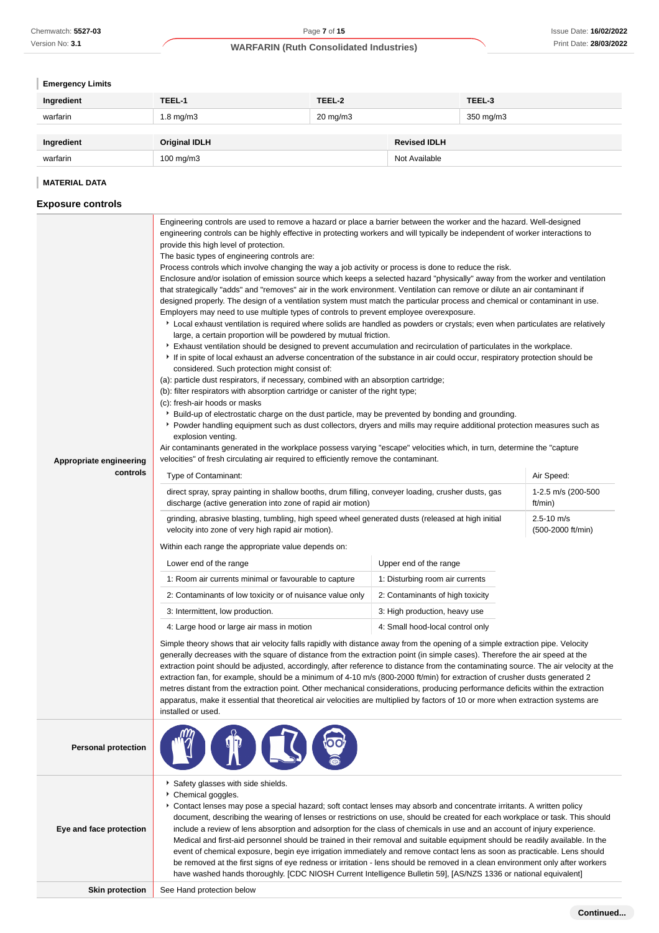# **Emergency Limits**

| Ingredient | TEEL-1               | TEEL-2            |                     | TEEL-3    |
|------------|----------------------|-------------------|---------------------|-----------|
| warfarin   | $1.8$ mg/m $3$       | $20 \text{ mg/m}$ |                     | 350 mg/m3 |
|            |                      |                   |                     |           |
| Ingredient | <b>Original IDLH</b> |                   | <b>Revised IDLH</b> |           |
| warfarin   | $100$ mg/m $3$       |                   | Not Available       |           |

# **MATERIAL DATA**

# **Exposure controls**

| Appropriate engineering    | Engineering controls are used to remove a hazard or place a barrier between the worker and the hazard. Well-designed<br>engineering controls can be highly effective in protecting workers and will typically be independent of worker interactions to<br>provide this high level of protection.<br>The basic types of engineering controls are:<br>Process controls which involve changing the way a job activity or process is done to reduce the risk.<br>Enclosure and/or isolation of emission source which keeps a selected hazard "physically" away from the worker and ventilation<br>that strategically "adds" and "removes" air in the work environment. Ventilation can remove or dilute an air contaminant if<br>designed properly. The design of a ventilation system must match the particular process and chemical or contaminant in use.<br>Employers may need to use multiple types of controls to prevent employee overexposure.<br>▶ Local exhaust ventilation is required where solids are handled as powders or crystals; even when particulates are relatively<br>large, a certain proportion will be powdered by mutual friction.<br>Exhaust ventilation should be designed to prevent accumulation and recirculation of particulates in the workplace.<br>If in spite of local exhaust an adverse concentration of the substance in air could occur, respiratory protection should be<br>considered. Such protection might consist of:<br>(a): particle dust respirators, if necessary, combined with an absorption cartridge;<br>(b): filter respirators with absorption cartridge or canister of the right type;<br>(c): fresh-air hoods or masks<br>▶ Build-up of electrostatic charge on the dust particle, may be prevented by bonding and grounding.<br>▶ Powder handling equipment such as dust collectors, dryers and mills may require additional protection measures such as<br>explosion venting.<br>Air contaminants generated in the workplace possess varying "escape" velocities which, in turn, determine the "capture<br>velocities" of fresh circulating air required to efficiently remove the contaminant. |                                     |                               |  |  |
|----------------------------|--------------------------------------------------------------------------------------------------------------------------------------------------------------------------------------------------------------------------------------------------------------------------------------------------------------------------------------------------------------------------------------------------------------------------------------------------------------------------------------------------------------------------------------------------------------------------------------------------------------------------------------------------------------------------------------------------------------------------------------------------------------------------------------------------------------------------------------------------------------------------------------------------------------------------------------------------------------------------------------------------------------------------------------------------------------------------------------------------------------------------------------------------------------------------------------------------------------------------------------------------------------------------------------------------------------------------------------------------------------------------------------------------------------------------------------------------------------------------------------------------------------------------------------------------------------------------------------------------------------------------------------------------------------------------------------------------------------------------------------------------------------------------------------------------------------------------------------------------------------------------------------------------------------------------------------------------------------------------------------------------------------------------------------------------------------------------------------------------------------------------------------------------------|-------------------------------------|-------------------------------|--|--|
| controls                   | Type of Contaminant:                                                                                                                                                                                                                                                                                                                                                                                                                                                                                                                                                                                                                                                                                                                                                                                                                                                                                                                                                                                                                                                                                                                                                                                                                                                                                                                                                                                                                                                                                                                                                                                                                                                                                                                                                                                                                                                                                                                                                                                                                                                                                                                                   |                                     | Air Speed:                    |  |  |
|                            | direct spray, spray painting in shallow booths, drum filling, conveyer loading, crusher dusts, gas<br>discharge (active generation into zone of rapid air motion)                                                                                                                                                                                                                                                                                                                                                                                                                                                                                                                                                                                                                                                                                                                                                                                                                                                                                                                                                                                                                                                                                                                                                                                                                                                                                                                                                                                                                                                                                                                                                                                                                                                                                                                                                                                                                                                                                                                                                                                      |                                     | 1-2.5 m/s (200-500<br>ft/min) |  |  |
|                            | grinding, abrasive blasting, tumbling, high speed wheel generated dusts (released at high initial<br>velocity into zone of very high rapid air motion).                                                                                                                                                                                                                                                                                                                                                                                                                                                                                                                                                                                                                                                                                                                                                                                                                                                                                                                                                                                                                                                                                                                                                                                                                                                                                                                                                                                                                                                                                                                                                                                                                                                                                                                                                                                                                                                                                                                                                                                                | $2.5 - 10$ m/s<br>(500-2000 ft/min) |                               |  |  |
|                            | Within each range the appropriate value depends on:                                                                                                                                                                                                                                                                                                                                                                                                                                                                                                                                                                                                                                                                                                                                                                                                                                                                                                                                                                                                                                                                                                                                                                                                                                                                                                                                                                                                                                                                                                                                                                                                                                                                                                                                                                                                                                                                                                                                                                                                                                                                                                    |                                     |                               |  |  |
|                            | Upper end of the range<br>Lower end of the range                                                                                                                                                                                                                                                                                                                                                                                                                                                                                                                                                                                                                                                                                                                                                                                                                                                                                                                                                                                                                                                                                                                                                                                                                                                                                                                                                                                                                                                                                                                                                                                                                                                                                                                                                                                                                                                                                                                                                                                                                                                                                                       |                                     |                               |  |  |
|                            | 1: Room air currents minimal or favourable to capture                                                                                                                                                                                                                                                                                                                                                                                                                                                                                                                                                                                                                                                                                                                                                                                                                                                                                                                                                                                                                                                                                                                                                                                                                                                                                                                                                                                                                                                                                                                                                                                                                                                                                                                                                                                                                                                                                                                                                                                                                                                                                                  | 1: Disturbing room air currents     |                               |  |  |
|                            | 2: Contaminants of low toxicity or of nuisance value only<br>2: Contaminants of high toxicity                                                                                                                                                                                                                                                                                                                                                                                                                                                                                                                                                                                                                                                                                                                                                                                                                                                                                                                                                                                                                                                                                                                                                                                                                                                                                                                                                                                                                                                                                                                                                                                                                                                                                                                                                                                                                                                                                                                                                                                                                                                          |                                     |                               |  |  |
|                            | 3: Intermittent, low production.                                                                                                                                                                                                                                                                                                                                                                                                                                                                                                                                                                                                                                                                                                                                                                                                                                                                                                                                                                                                                                                                                                                                                                                                                                                                                                                                                                                                                                                                                                                                                                                                                                                                                                                                                                                                                                                                                                                                                                                                                                                                                                                       | 3: High production, heavy use       |                               |  |  |
|                            | 4: Large hood or large air mass in motion                                                                                                                                                                                                                                                                                                                                                                                                                                                                                                                                                                                                                                                                                                                                                                                                                                                                                                                                                                                                                                                                                                                                                                                                                                                                                                                                                                                                                                                                                                                                                                                                                                                                                                                                                                                                                                                                                                                                                                                                                                                                                                              | 4: Small hood-local control only    |                               |  |  |
|                            | Simple theory shows that air velocity falls rapidly with distance away from the opening of a simple extraction pipe. Velocity<br>generally decreases with the square of distance from the extraction point (in simple cases). Therefore the air speed at the<br>extraction point should be adjusted, accordingly, after reference to distance from the contaminating source. The air velocity at the<br>extraction fan, for example, should be a minimum of 4-10 m/s (800-2000 ft/min) for extraction of crusher dusts generated 2<br>metres distant from the extraction point. Other mechanical considerations, producing performance deficits within the extraction<br>apparatus, make it essential that theoretical air velocities are multiplied by factors of 10 or more when extraction systems are<br>installed or used.                                                                                                                                                                                                                                                                                                                                                                                                                                                                                                                                                                                                                                                                                                                                                                                                                                                                                                                                                                                                                                                                                                                                                                                                                                                                                                                        |                                     |                               |  |  |
| <b>Personal protection</b> |                                                                                                                                                                                                                                                                                                                                                                                                                                                                                                                                                                                                                                                                                                                                                                                                                                                                                                                                                                                                                                                                                                                                                                                                                                                                                                                                                                                                                                                                                                                                                                                                                                                                                                                                                                                                                                                                                                                                                                                                                                                                                                                                                        |                                     |                               |  |  |
| Eye and face protection    | Safety glasses with side shields.<br>Chemical goggles.<br>Contact lenses may pose a special hazard; soft contact lenses may absorb and concentrate irritants. A written policy<br>document, describing the wearing of lenses or restrictions on use, should be created for each workplace or task. This should<br>include a review of lens absorption and adsorption for the class of chemicals in use and an account of injury experience.<br>Medical and first-aid personnel should be trained in their removal and suitable equipment should be readily available. In the<br>event of chemical exposure, begin eye irrigation immediately and remove contact lens as soon as practicable. Lens should<br>be removed at the first signs of eye redness or irritation - lens should be removed in a clean environment only after workers<br>have washed hands thoroughly. [CDC NIOSH Current Intelligence Bulletin 59], [AS/NZS 1336 or national equivalent]                                                                                                                                                                                                                                                                                                                                                                                                                                                                                                                                                                                                                                                                                                                                                                                                                                                                                                                                                                                                                                                                                                                                                                                          |                                     |                               |  |  |
| <b>Skin protection</b>     | See Hand protection below                                                                                                                                                                                                                                                                                                                                                                                                                                                                                                                                                                                                                                                                                                                                                                                                                                                                                                                                                                                                                                                                                                                                                                                                                                                                                                                                                                                                                                                                                                                                                                                                                                                                                                                                                                                                                                                                                                                                                                                                                                                                                                                              |                                     |                               |  |  |
|                            |                                                                                                                                                                                                                                                                                                                                                                                                                                                                                                                                                                                                                                                                                                                                                                                                                                                                                                                                                                                                                                                                                                                                                                                                                                                                                                                                                                                                                                                                                                                                                                                                                                                                                                                                                                                                                                                                                                                                                                                                                                                                                                                                                        |                                     | Continued                     |  |  |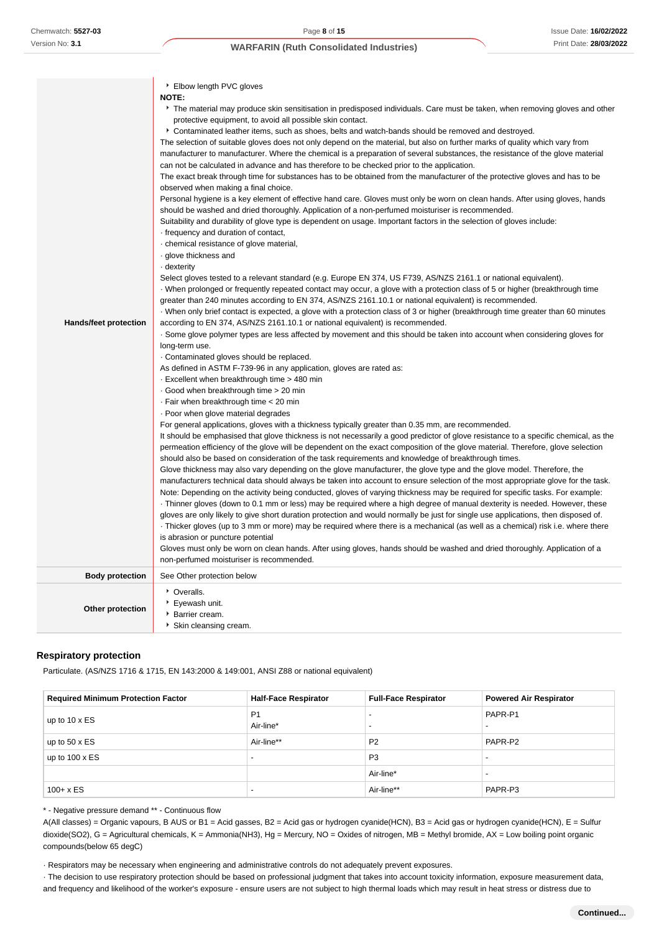|                              | ▶ Elbow length PVC gloves<br><b>NOTE:</b>                                                                                                                                                                                                                           |
|------------------------------|---------------------------------------------------------------------------------------------------------------------------------------------------------------------------------------------------------------------------------------------------------------------|
|                              | The material may produce skin sensitisation in predisposed individuals. Care must be taken, when removing gloves and other<br>protective equipment, to avoid all possible skin contact.                                                                             |
|                              | Contaminated leather items, such as shoes, belts and watch-bands should be removed and destroyed.                                                                                                                                                                   |
|                              | The selection of suitable gloves does not only depend on the material, but also on further marks of quality which vary from                                                                                                                                         |
|                              | manufacturer to manufacturer. Where the chemical is a preparation of several substances, the resistance of the glove material                                                                                                                                       |
|                              | can not be calculated in advance and has therefore to be checked prior to the application.                                                                                                                                                                          |
|                              | The exact break through time for substances has to be obtained from the manufacturer of the protective gloves and has to be                                                                                                                                         |
|                              | observed when making a final choice.                                                                                                                                                                                                                                |
|                              | Personal hygiene is a key element of effective hand care. Gloves must only be worn on clean hands. After using gloves, hands<br>should be washed and dried thoroughly. Application of a non-perfumed moisturiser is recommended.                                    |
|                              | Suitability and durability of glove type is dependent on usage. Important factors in the selection of gloves include:                                                                                                                                               |
|                              | frequency and duration of contact,                                                                                                                                                                                                                                  |
|                              | chemical resistance of glove material,                                                                                                                                                                                                                              |
|                              | glove thickness and                                                                                                                                                                                                                                                 |
|                              | - dexterity                                                                                                                                                                                                                                                         |
|                              | Select gloves tested to a relevant standard (e.g. Europe EN 374, US F739, AS/NZS 2161.1 or national equivalent).                                                                                                                                                    |
|                              | When prolonged or frequently repeated contact may occur, a glove with a protection class of 5 or higher (breakthrough time                                                                                                                                          |
|                              | greater than 240 minutes according to EN 374, AS/NZS 2161.10.1 or national equivalent) is recommended.                                                                                                                                                              |
|                              | When only brief contact is expected, a glove with a protection class of 3 or higher (breakthrough time greater than 60 minutes                                                                                                                                      |
| <b>Hands/feet protection</b> | according to EN 374, AS/NZS 2161.10.1 or national equivalent) is recommended.                                                                                                                                                                                       |
|                              | . Some glove polymer types are less affected by movement and this should be taken into account when considering gloves for                                                                                                                                          |
|                              | long-term use.                                                                                                                                                                                                                                                      |
|                              | Contaminated gloves should be replaced.                                                                                                                                                                                                                             |
|                              | As defined in ASTM F-739-96 in any application, gloves are rated as:<br>Excellent when breakthrough time > 480 min                                                                                                                                                  |
|                              | Good when breakthrough time > 20 min                                                                                                                                                                                                                                |
|                              | . Fair when breakthrough time < 20 min                                                                                                                                                                                                                              |
|                              | · Poor when glove material degrades                                                                                                                                                                                                                                 |
|                              | For general applications, gloves with a thickness typically greater than 0.35 mm, are recommended.                                                                                                                                                                  |
|                              | It should be emphasised that glove thickness is not necessarily a good predictor of glove resistance to a specific chemical, as the                                                                                                                                 |
|                              | permeation efficiency of the glove will be dependent on the exact composition of the glove material. Therefore, glove selection                                                                                                                                     |
|                              | should also be based on consideration of the task requirements and knowledge of breakthrough times.                                                                                                                                                                 |
|                              | Glove thickness may also vary depending on the glove manufacturer, the glove type and the glove model. Therefore, the                                                                                                                                               |
|                              | manufacturers technical data should always be taken into account to ensure selection of the most appropriate glove for the task.                                                                                                                                    |
|                              | Note: Depending on the activity being conducted, gloves of varying thickness may be required for specific tasks. For example:                                                                                                                                       |
|                              | Thinner gloves (down to 0.1 mm or less) may be required where a high degree of manual dexterity is needed. However, these                                                                                                                                           |
|                              | gloves are only likely to give short duration protection and would normally be just for single use applications, then disposed of.<br>Thicker gloves (up to 3 mm or more) may be required where there is a mechanical (as well as a chemical) risk i.e. where there |
|                              | is abrasion or puncture potential                                                                                                                                                                                                                                   |
|                              | Gloves must only be worn on clean hands. After using gloves, hands should be washed and dried thoroughly. Application of a                                                                                                                                          |
|                              | non-perfumed moisturiser is recommended.                                                                                                                                                                                                                            |
| <b>Body protection</b>       | See Other protection below                                                                                                                                                                                                                                          |
|                              | • Overalls.                                                                                                                                                                                                                                                         |
| <b>Other protection</b>      | ▶ Eyewash unit.                                                                                                                                                                                                                                                     |
|                              | Barrier cream.                                                                                                                                                                                                                                                      |
|                              | Skin cleansing cream.                                                                                                                                                                                                                                               |

#### **Respiratory protection**

Particulate. (AS/NZS 1716 & 1715, EN 143:2000 & 149:001, ANSI Z88 or national equivalent)

| <b>Required Minimum Protection Factor</b> | <b>Half-Face Respirator</b> | <b>Full-Face Respirator</b>                          | <b>Powered Air Respirator</b> |
|-------------------------------------------|-----------------------------|------------------------------------------------------|-------------------------------|
| up to $10 \times ES$                      | P <sub>1</sub><br>Air-line* | $\overline{\phantom{a}}$<br>$\overline{\phantom{a}}$ | PAPR-P1                       |
| up to $50 \times ES$                      | Air-line**                  | P <sub>2</sub>                                       | PAPR-P2                       |
| up to $100 \times ES$                     | $\overline{\phantom{0}}$    | P <sub>3</sub>                                       |                               |
|                                           |                             | Air-line*                                            |                               |
| $100 + x ES$                              | $\overline{\phantom{a}}$    | Air-line**                                           | PAPR-P3                       |

\* - Negative pressure demand \*\* - Continuous flow

A(All classes) = Organic vapours, B AUS or B1 = Acid gasses, B2 = Acid gas or hydrogen cyanide(HCN), B3 = Acid gas or hydrogen cyanide(HCN), E = Sulfur dioxide(SO2), G = Agricultural chemicals, K = Ammonia(NH3), Hg = Mercury, NO = Oxides of nitrogen, MB = Methyl bromide, AX = Low boiling point organic compounds(below 65 degC)

· Respirators may be necessary when engineering and administrative controls do not adequately prevent exposures.

· The decision to use respiratory protection should be based on professional judgment that takes into account toxicity information, exposure measurement data, and frequency and likelihood of the worker's exposure - ensure users are not subject to high thermal loads which may result in heat stress or distress due to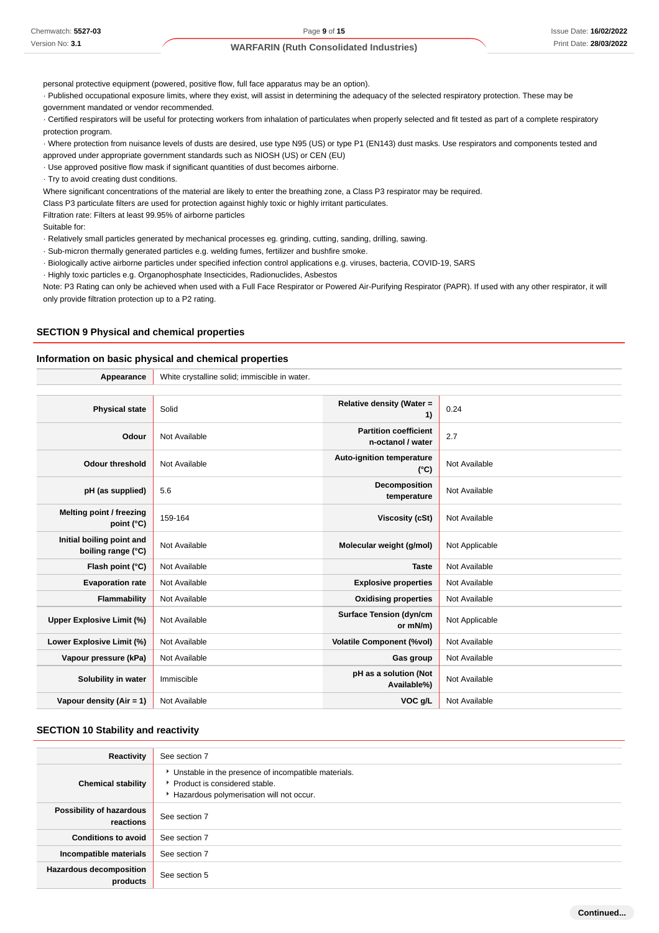personal protective equipment (powered, positive flow, full face apparatus may be an option).

· Published occupational exposure limits, where they exist, will assist in determining the adequacy of the selected respiratory protection. These may be

government mandated or vendor recommended.

· Certified respirators will be useful for protecting workers from inhalation of particulates when properly selected and fit tested as part of a complete respiratory protection program.

· Where protection from nuisance levels of dusts are desired, use type N95 (US) or type P1 (EN143) dust masks. Use respirators and components tested and

approved under appropriate government standards such as NIOSH (US) or CEN (EU)

· Use approved positive flow mask if significant quantities of dust becomes airborne.

· Try to avoid creating dust conditions.

Where significant concentrations of the material are likely to enter the breathing zone, a Class P3 respirator may be required.

Class P3 particulate filters are used for protection against highly toxic or highly irritant particulates.

Filtration rate: Filters at least 99.95% of airborne particles

Suitable for:

· Relatively small particles generated by mechanical processes eg. grinding, cutting, sanding, drilling, sawing.

· Sub-micron thermally generated particles e.g. welding fumes, fertilizer and bushfire smoke.

· Biologically active airborne particles under specified infection control applications e.g. viruses, bacteria, COVID-19, SARS

· Highly toxic particles e.g. Organophosphate Insecticides, Radionuclides, Asbestos

Note: P3 Rating can only be achieved when used with a Full Face Respirator or Powered Air-Purifying Respirator (PAPR). If used with any other respirator, it will only provide filtration protection up to a P2 rating.

#### **SECTION 9 Physical and chemical properties**

#### **Information on basic physical and chemical properties**

| Appearance                                      | White crystalline solid; immiscible in water. |                                                   |                |  |
|-------------------------------------------------|-----------------------------------------------|---------------------------------------------------|----------------|--|
|                                                 |                                               |                                                   |                |  |
| <b>Physical state</b>                           | Solid                                         | Relative density (Water =<br>1)                   | 0.24           |  |
| Odour                                           | Not Available                                 | <b>Partition coefficient</b><br>n-octanol / water | 2.7            |  |
| <b>Odour threshold</b>                          | Not Available                                 | Auto-ignition temperature<br>$(^{\circ}C)$        | Not Available  |  |
| pH (as supplied)                                | 5.6                                           | Decomposition<br>temperature                      | Not Available  |  |
| Melting point / freezing<br>point (°C)          | 159-164                                       | <b>Viscosity (cSt)</b>                            | Not Available  |  |
| Initial boiling point and<br>boiling range (°C) | Not Available                                 | Molecular weight (g/mol)                          | Not Applicable |  |
| Flash point (°C)                                | Not Available                                 | <b>Taste</b>                                      | Not Available  |  |
| <b>Evaporation rate</b>                         | Not Available                                 | <b>Explosive properties</b>                       | Not Available  |  |
| Flammability                                    | Not Available                                 | <b>Oxidising properties</b>                       | Not Available  |  |
| Upper Explosive Limit (%)                       | Not Available                                 | <b>Surface Tension (dyn/cm</b><br>or mN/m)        | Not Applicable |  |
| Lower Explosive Limit (%)                       | Not Available                                 | <b>Volatile Component (%vol)</b>                  | Not Available  |  |
| Vapour pressure (kPa)                           | Not Available                                 | Gas group                                         | Not Available  |  |
| Solubility in water                             | Immiscible                                    | pH as a solution (Not<br>Available%)              | Not Available  |  |
| Vapour density $(Air = 1)$                      | Not Available                                 | VOC g/L                                           | Not Available  |  |

#### **SECTION 10 Stability and reactivity**

| Reactivity                                 | See section 7                                                                                                                        |
|--------------------------------------------|--------------------------------------------------------------------------------------------------------------------------------------|
| <b>Chemical stability</b>                  | • Unstable in the presence of incompatible materials.<br>▶ Product is considered stable.<br>Hazardous polymerisation will not occur. |
| Possibility of hazardous<br>reactions      | See section 7                                                                                                                        |
| <b>Conditions to avoid</b>                 | See section 7                                                                                                                        |
| Incompatible materials                     | See section 7                                                                                                                        |
| <b>Hazardous decomposition</b><br>products | See section 5                                                                                                                        |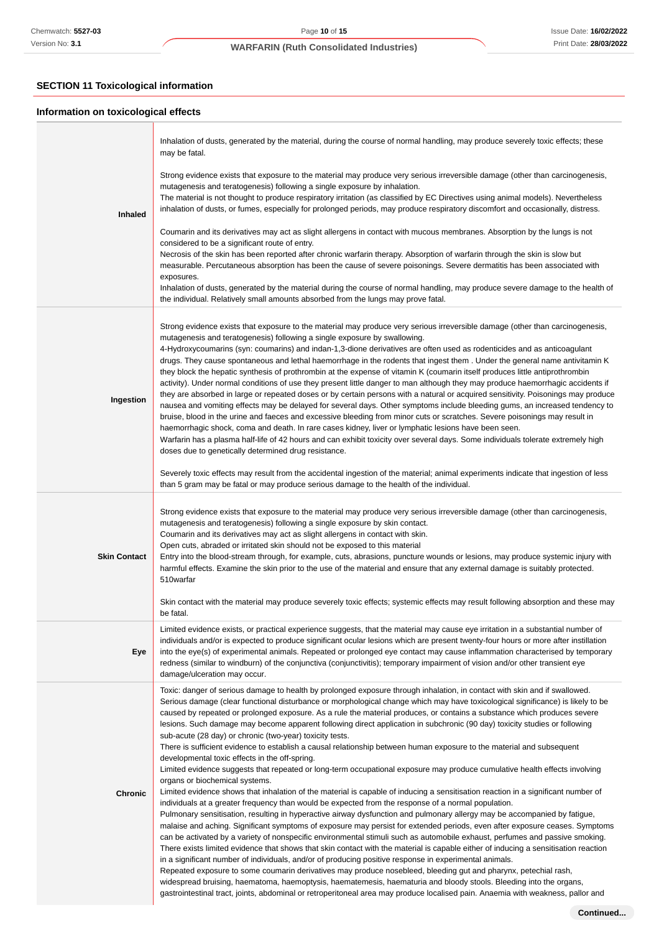# **SECTION 11 Toxicological information**

# **Information on toxicological effects**

|                     | Inhalation of dusts, generated by the material, during the course of normal handling, may produce severely toxic effects; these<br>may be fatal.                                                                                                                                                                                                                                                                                                                                                                                                                                                                                                                                                                                                                                                                                                                                                                                                                                                                                                                                                                                                                                                                                                                                                                                                                                                                                                                                                                                                                                                                                                                                                                                                                                                                                                                                                                                                                                                                                                                                                                                                                                                    |
|---------------------|-----------------------------------------------------------------------------------------------------------------------------------------------------------------------------------------------------------------------------------------------------------------------------------------------------------------------------------------------------------------------------------------------------------------------------------------------------------------------------------------------------------------------------------------------------------------------------------------------------------------------------------------------------------------------------------------------------------------------------------------------------------------------------------------------------------------------------------------------------------------------------------------------------------------------------------------------------------------------------------------------------------------------------------------------------------------------------------------------------------------------------------------------------------------------------------------------------------------------------------------------------------------------------------------------------------------------------------------------------------------------------------------------------------------------------------------------------------------------------------------------------------------------------------------------------------------------------------------------------------------------------------------------------------------------------------------------------------------------------------------------------------------------------------------------------------------------------------------------------------------------------------------------------------------------------------------------------------------------------------------------------------------------------------------------------------------------------------------------------------------------------------------------------------------------------------------------------|
| <b>Inhaled</b>      | Strong evidence exists that exposure to the material may produce very serious irreversible damage (other than carcinogenesis,<br>mutagenesis and teratogenesis) following a single exposure by inhalation.<br>The material is not thought to produce respiratory irritation (as classified by EC Directives using animal models). Nevertheless<br>inhalation of dusts, or fumes, especially for prolonged periods, may produce respiratory discomfort and occasionally, distress.                                                                                                                                                                                                                                                                                                                                                                                                                                                                                                                                                                                                                                                                                                                                                                                                                                                                                                                                                                                                                                                                                                                                                                                                                                                                                                                                                                                                                                                                                                                                                                                                                                                                                                                   |
|                     | Coumarin and its derivatives may act as slight allergens in contact with mucous membranes. Absorption by the lungs is not<br>considered to be a significant route of entry.<br>Necrosis of the skin has been reported after chronic warfarin therapy. Absorption of warfarin through the skin is slow but<br>measurable. Percutaneous absorption has been the cause of severe poisonings. Severe dermatitis has been associated with<br>exposures.<br>Inhalation of dusts, generated by the material during the course of normal handling, may produce severe damage to the health of<br>the individual. Relatively small amounts absorbed from the lungs may prove fatal.                                                                                                                                                                                                                                                                                                                                                                                                                                                                                                                                                                                                                                                                                                                                                                                                                                                                                                                                                                                                                                                                                                                                                                                                                                                                                                                                                                                                                                                                                                                          |
| Ingestion           | Strong evidence exists that exposure to the material may produce very serious irreversible damage (other than carcinogenesis,<br>mutagenesis and teratogenesis) following a single exposure by swallowing.<br>4-Hydroxycoumarins (syn: coumarins) and indan-1,3-dione derivatives are often used as rodenticides and as anticoagulant<br>drugs. They cause spontaneous and lethal haemorrhage in the rodents that ingest them. Under the general name antivitamin K<br>they block the hepatic synthesis of prothrombin at the expense of vitamin K (coumarin itself produces little antiprothrombin<br>activity). Under normal conditions of use they present little danger to man although they may produce haemorrhagic accidents if<br>they are absorbed in large or repeated doses or by certain persons with a natural or acquired sensitivity. Poisonings may produce<br>nausea and vomiting effects may be delayed for several days. Other symptoms include bleeding gums, an increased tendency to<br>bruise, blood in the urine and faeces and excessive bleeding from minor cuts or scratches. Severe poisonings may result in<br>haemorrhagic shock, coma and death. In rare cases kidney, liver or lymphatic lesions have been seen.<br>Warfarin has a plasma half-life of 42 hours and can exhibit toxicity over several days. Some individuals tolerate extremely high<br>doses due to genetically determined drug resistance.                                                                                                                                                                                                                                                                                                                                                                                                                                                                                                                                                                                                                                                                                                                                                        |
|                     | Severely toxic effects may result from the accidental ingestion of the material; animal experiments indicate that ingestion of less<br>than 5 gram may be fatal or may produce serious damage to the health of the individual.                                                                                                                                                                                                                                                                                                                                                                                                                                                                                                                                                                                                                                                                                                                                                                                                                                                                                                                                                                                                                                                                                                                                                                                                                                                                                                                                                                                                                                                                                                                                                                                                                                                                                                                                                                                                                                                                                                                                                                      |
| <b>Skin Contact</b> | Strong evidence exists that exposure to the material may produce very serious irreversible damage (other than carcinogenesis,<br>mutagenesis and teratogenesis) following a single exposure by skin contact.<br>Coumarin and its derivatives may act as slight allergens in contact with skin.<br>Open cuts, abraded or irritated skin should not be exposed to this material<br>Entry into the blood-stream through, for example, cuts, abrasions, puncture wounds or lesions, may produce systemic injury with<br>harmful effects. Examine the skin prior to the use of the material and ensure that any external damage is suitably protected.<br>510warfar                                                                                                                                                                                                                                                                                                                                                                                                                                                                                                                                                                                                                                                                                                                                                                                                                                                                                                                                                                                                                                                                                                                                                                                                                                                                                                                                                                                                                                                                                                                                      |
|                     | Skin contact with the material may produce severely toxic effects; systemic effects may result following absorption and these may<br>be fatal.                                                                                                                                                                                                                                                                                                                                                                                                                                                                                                                                                                                                                                                                                                                                                                                                                                                                                                                                                                                                                                                                                                                                                                                                                                                                                                                                                                                                                                                                                                                                                                                                                                                                                                                                                                                                                                                                                                                                                                                                                                                      |
| Eye                 | Limited evidence exists, or practical experience suggests, that the material may cause eye irritation in a substantial number of<br>individuals and/or is expected to produce significant ocular lesions which are present twenty-four hours or more after instillation<br>into the eye(s) of experimental animals. Repeated or prolonged eye contact may cause inflammation characterised by temporary<br>redness (similar to windburn) of the conjunctiva (conjunctivitis); temporary impairment of vision and/or other transient eye<br>damage/ulceration may occur.                                                                                                                                                                                                                                                                                                                                                                                                                                                                                                                                                                                                                                                                                                                                                                                                                                                                                                                                                                                                                                                                                                                                                                                                                                                                                                                                                                                                                                                                                                                                                                                                                             |
| <b>Chronic</b>      | Toxic: danger of serious damage to health by prolonged exposure through inhalation, in contact with skin and if swallowed.<br>Serious damage (clear functional disturbance or morphological change which may have toxicological significance) is likely to be<br>caused by repeated or prolonged exposure. As a rule the material produces, or contains a substance which produces severe<br>lesions. Such damage may become apparent following direct application in subchronic (90 day) toxicity studies or following<br>sub-acute (28 day) or chronic (two-year) toxicity tests.<br>There is sufficient evidence to establish a causal relationship between human exposure to the material and subsequent<br>developmental toxic effects in the off-spring.<br>Limited evidence suggests that repeated or long-term occupational exposure may produce cumulative health effects involving<br>organs or biochemical systems.<br>Limited evidence shows that inhalation of the material is capable of inducing a sensitisation reaction in a significant number of<br>individuals at a greater frequency than would be expected from the response of a normal population.<br>Pulmonary sensitisation, resulting in hyperactive airway dysfunction and pulmonary allergy may be accompanied by fatigue,<br>malaise and aching. Significant symptoms of exposure may persist for extended periods, even after exposure ceases. Symptoms<br>can be activated by a variety of nonspecific environmental stimuli such as automobile exhaust, perfumes and passive smoking.<br>There exists limited evidence that shows that skin contact with the material is capable either of inducing a sensitisation reaction<br>in a significant number of individuals, and/or of producing positive response in experimental animals.<br>Repeated exposure to some coumarin derivatives may produce nosebleed, bleeding gut and pharynx, petechial rash,<br>widespread bruising, haematoma, haemoptysis, haematemesis, haematuria and bloody stools. Bleeding into the organs,<br>gastrointestinal tract, joints, abdominal or retroperitoneal area may produce localised pain. Anaemia with weakness, pallor and |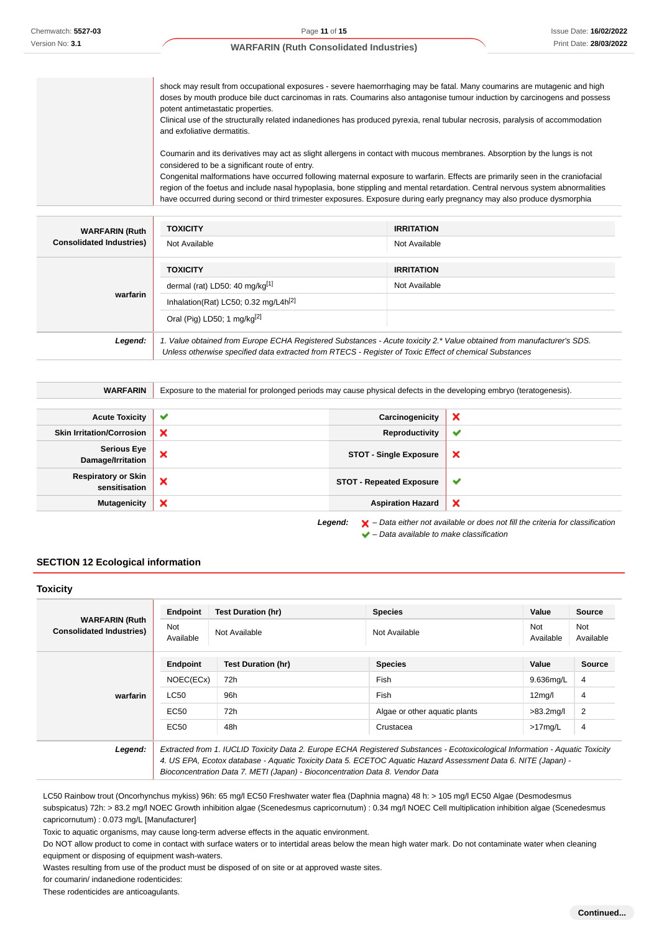Chemwatch: **5527-03** Version No: **3.1**

#### **WARFARIN (Ruth Consolidated Industries)**

shock may result from occupational exposures - severe haemorrhaging may be fatal. Many coumarins are mutagenic and high doses by mouth produce bile duct carcinomas in rats. Coumarins also antagonise tumour induction by carcinogens and possess potent antimetastatic properties. Clinical use of the structurally related indanediones has produced pyrexia, renal tubular necrosis, paralysis of accommodation and exfoliative dermatitis. Coumarin and its derivatives may act as slight allergens in contact with mucous membranes. Absorption by the lungs is not considered to be a significant route of entry. Congenital malformations have occurred following maternal exposure to warfarin. Effects are primarily seen in the craniofacial region of the foetus and include nasal hypoplasia, bone stippling and mental retardation. Central nervous system abnormalities have occurred during second or third trimester exposures. Exposure during early pregnancy may also produce dysmorphia

| <b>WARFARIN (Ruth</b>           | <b>TOXICITY</b>                                                                                                                                                                                                                 | <b>IRRITATION</b> |
|---------------------------------|---------------------------------------------------------------------------------------------------------------------------------------------------------------------------------------------------------------------------------|-------------------|
| <b>Consolidated Industries)</b> | Not Available                                                                                                                                                                                                                   | Not Available     |
|                                 | <b>TOXICITY</b>                                                                                                                                                                                                                 | <b>IRRITATION</b> |
| warfarin                        | dermal (rat) LD50: 40 mg/kg <sup>[1]</sup>                                                                                                                                                                                      | Not Available     |
|                                 | Inhalation(Rat) LC50; 0.32 mg/L4h <sup>[2]</sup>                                                                                                                                                                                |                   |
|                                 | Oral (Pig) LD50; 1 mg/kg <sup>[2]</sup>                                                                                                                                                                                         |                   |
| Legend:                         | 1. Value obtained from Europe ECHA Registered Substances - Acute toxicity 2.* Value obtained from manufacturer's SDS.<br>Unless otherwise specified data extracted from RTECS - Register of Toxic Effect of chemical Substances |                   |

| <b>WARFARIN</b>                             | Exposure to the material for prolonged periods may cause physical defects in the developing embryo (teratogenesis). |                                 |                                                                                                    |
|---------------------------------------------|---------------------------------------------------------------------------------------------------------------------|---------------------------------|----------------------------------------------------------------------------------------------------|
|                                             |                                                                                                                     |                                 |                                                                                                    |
| <b>Acute Toxicity</b>                       | ✔                                                                                                                   | Carcinogenicity                 | ×                                                                                                  |
| <b>Skin Irritation/Corrosion</b>            | ×                                                                                                                   | Reproductivity                  | $\checkmark$                                                                                       |
| <b>Serious Eye</b><br>Damage/Irritation     | ×                                                                                                                   | <b>STOT - Single Exposure</b>   | $\boldsymbol{\mathsf{x}}$                                                                          |
| <b>Respiratory or Skin</b><br>sensitisation | ×                                                                                                                   | <b>STOT - Repeated Exposure</b> | $\checkmark$                                                                                       |
| <b>Mutagenicity</b>                         | ×                                                                                                                   | <b>Aspiration Hazard</b>        | $\boldsymbol{\mathsf{x}}$                                                                          |
|                                             |                                                                                                                     | Legend:                         | $\blacktriangleright$ – Data either not available or does not fill the criteria for classification |

 $\blacktriangleright$  – Data available to make classification

### **SECTION 12 Ecological information**

#### **Toxicity**

| <b>WARFARIN (Ruth</b>           | <b>Endpoint</b>                                                                                                               | <b>Test Duration (hr)</b>                                                    | <b>Species</b>                                                                                                | Value               | <b>Source</b>    |
|---------------------------------|-------------------------------------------------------------------------------------------------------------------------------|------------------------------------------------------------------------------|---------------------------------------------------------------------------------------------------------------|---------------------|------------------|
| <b>Consolidated Industries)</b> | Not<br>Available                                                                                                              | Not Available                                                                | Not Available                                                                                                 | Not<br>Available    | Not<br>Available |
|                                 | <b>Endpoint</b>                                                                                                               | Test Duration (hr)                                                           | <b>Species</b>                                                                                                | Value               | <b>Source</b>    |
|                                 | NOEC(ECx)                                                                                                                     | 72h                                                                          | Fish                                                                                                          | 9.636mg/L           | 4                |
| warfarin                        | LC50                                                                                                                          | 96h                                                                          | <b>Fish</b>                                                                                                   | 12 <sub>mq</sub> /I | 4                |
|                                 | EC50                                                                                                                          | 72h                                                                          | Algae or other aquatic plants                                                                                 | $>83.2$ mg/l        | $\overline{2}$   |
|                                 | EC50                                                                                                                          | 48h                                                                          | Crustacea                                                                                                     | $>17$ mg/L          | 4                |
| Legend:                         | Extracted from 1. IUCLID Toxicity Data 2. Europe ECHA Registered Substances - Ecotoxicological Information - Aquatic Toxicity |                                                                              |                                                                                                               |                     |                  |
|                                 |                                                                                                                               |                                                                              | 4. US EPA, Ecotox database - Aquatic Toxicity Data 5. ECETOC Aquatic Hazard Assessment Data 6. NITE (Japan) - |                     |                  |
|                                 |                                                                                                                               | Bioconcentration Data 7. METI (Japan) - Bioconcentration Data 8. Vendor Data |                                                                                                               |                     |                  |

LC50 Rainbow trout (Oncorhynchus mykiss) 96h: 65 mg/l EC50 Freshwater water flea (Daphnia magna) 48 h: > 105 mg/l EC50 Algae (Desmodesmus subspicatus) 72h: > 83.2 mg/l NOEC Growth inhibition algae (Scenedesmus capricornutum) : 0.34 mg/l NOEC Cell multiplication inhibition algae (Scenedesmus capricornutum) : 0.073 mg/L [Manufacturer]

Toxic to aquatic organisms, may cause long-term adverse effects in the aquatic environment.

Do NOT allow product to come in contact with surface waters or to intertidal areas below the mean high water mark. Do not contaminate water when cleaning equipment or disposing of equipment wash-waters.

Wastes resulting from use of the product must be disposed of on site or at approved waste sites.

for coumarin/ indanedione rodenticides:

These rodenticides are anticoagulants.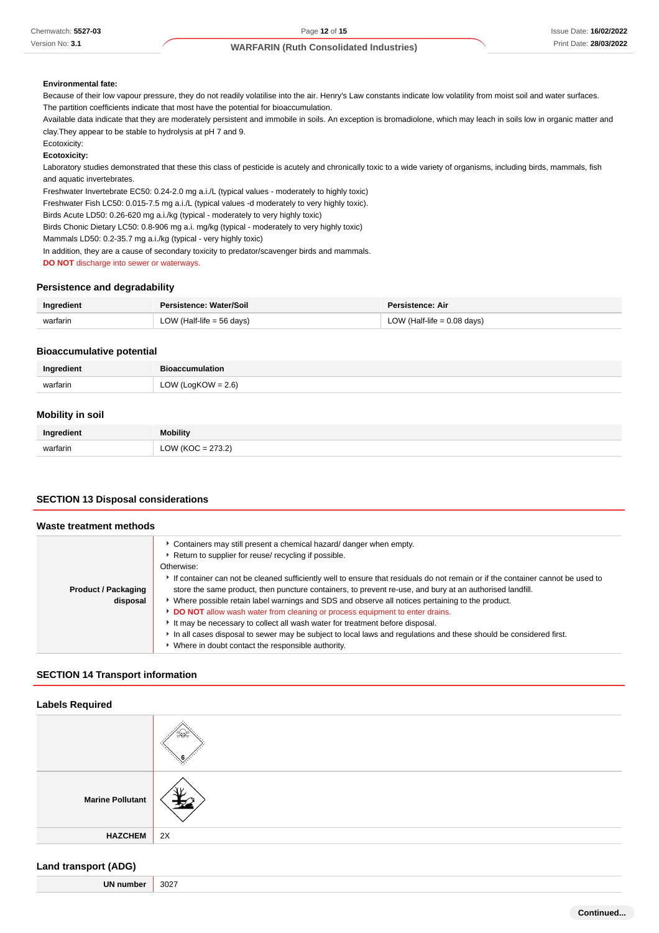#### **Environmental fate:**

Because of their low vapour pressure, they do not readily volatilise into the air. Henry's Law constants indicate low volatility from moist soil and water surfaces. The partition coefficients indicate that most have the potential for bioaccumulation.

Available data indicate that they are moderately persistent and immobile in soils. An exception is bromadiolone, which may leach in soils low in organic matter and clay.They appear to be stable to hydrolysis at pH 7 and 9.

Ecotoxicity:

#### **Ecotoxicity:**

Laboratory studies demonstrated that these this class of pesticide is acutely and chronically toxic to a wide variety of organisms, including birds, mammals, fish and aquatic invertebrates.

Freshwater Invertebrate EC50: 0.24-2.0 mg a.i./L (typical values - moderately to highly toxic)

Freshwater Fish LC50: 0.015-7.5 mg a.i./L (typical values -d moderately to very highly toxic).

Birds Acute LD50: 0.26-620 mg a.i./kg (typical - moderately to very highly toxic)

Birds Chonic Dietary LC50: 0.8-906 mg a.i. mg/kg (typical - moderately to very highly toxic)

Mammals LD50: 0.2-35.7 mg a.i./kg (typical - very highly toxic)

In addition, they are a cause of secondary toxicity to predator/scavenger birds and mammals.

**DO NOT** discharge into sewer or waterways.

#### **Persistence and degradability**

| Ingredient | Persistence: Water/Soil     | Persistence: Air              |
|------------|-----------------------------|-------------------------------|
| warfarin   | LOW (Half-life $= 56$ days) | LOW (Half-life $= 0.08$ days) |

#### **Bioaccumulative potential**

|          | <b>Dios</b>           |
|----------|-----------------------|
| warfarin | LOW (LogKOW = $2.6$ ) |
|          |                       |

#### **Mobility in soil**

| Ingredient | <b>Mobility</b>          |
|------------|--------------------------|
| warfarin   | פדר<br>ו י<br>____<br>__ |

#### **SECTION 13 Disposal considerations**

#### **Waste treatment methods**

|                            | Containers may still present a chemical hazard/ danger when empty.<br>▶ Return to supplier for reuse/ recycling if possible.   |
|----------------------------|--------------------------------------------------------------------------------------------------------------------------------|
|                            | Otherwise:                                                                                                                     |
|                            | If container can not be cleaned sufficiently well to ensure that residuals do not remain or if the container cannot be used to |
| <b>Product / Packaging</b> | store the same product, then puncture containers, to prevent re-use, and bury at an authorised landfill.                       |
| disposal                   | • Where possible retain label warnings and SDS and observe all notices pertaining to the product.                              |
|                            | DO NOT allow wash water from cleaning or process equipment to enter drains.                                                    |
|                            | It may be necessary to collect all wash water for treatment before disposal.                                                   |
|                            | In all cases disposal to sewer may be subject to local laws and regulations and these should be considered first.              |
|                            | • Where in doubt contact the responsible authority.                                                                            |

### **SECTION 14 Transport information**

#### **Labels Required**

| <b>Marine Pollutant</b> |    |
|-------------------------|----|
| HAZCHEM                 | 2X |

# **Land transport (ADG)**

| ιIΝ<br>∠∪כ |
|------------|
|------------|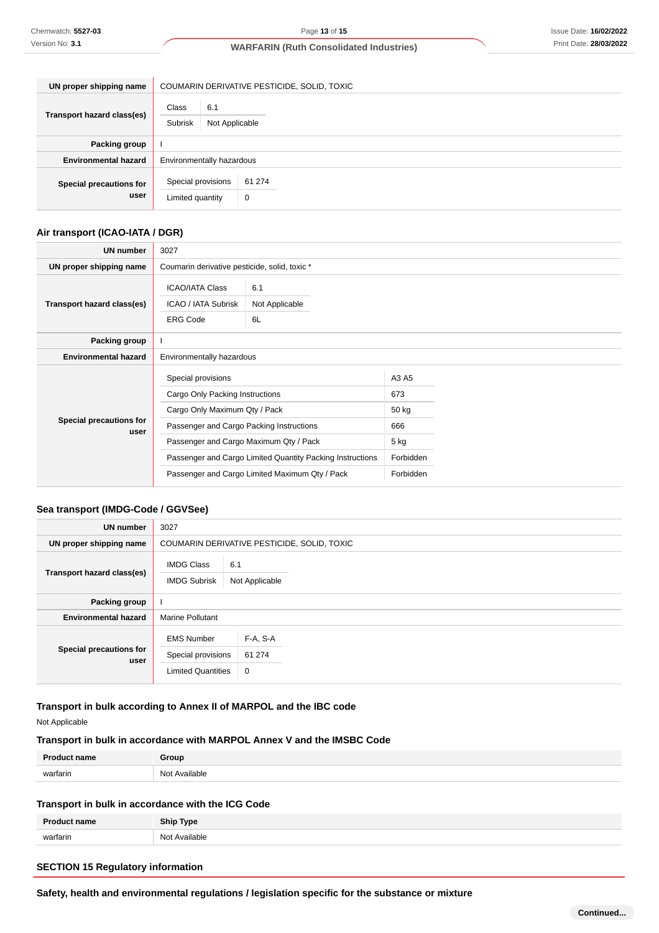| UN proper shipping name         | COUMARIN DERIVATIVE PESTICIDE, SOLID, TOXIC |             |  |
|---------------------------------|---------------------------------------------|-------------|--|
| Transport hazard class(es)      | Class<br>6.1<br>Subrisk<br>Not Applicable   |             |  |
| Packing group                   |                                             |             |  |
| <b>Environmental hazard</b>     | Environmentally hazardous                   |             |  |
| Special precautions for<br>user | Special provisions<br>Limited quantity      | 61 274<br>0 |  |

# **Air transport (ICAO-IATA / DGR)**

| <b>UN number</b>                | 3027                                                                                                                                                                                                                                                                                        |                             |                                                                |  |
|---------------------------------|---------------------------------------------------------------------------------------------------------------------------------------------------------------------------------------------------------------------------------------------------------------------------------------------|-----------------------------|----------------------------------------------------------------|--|
| UN proper shipping name         | Coumarin derivative pesticide, solid, toxic *                                                                                                                                                                                                                                               |                             |                                                                |  |
| Transport hazard class(es)      | <b>ICAO/IATA Class</b><br><b>ICAO / IATA Subrisk</b><br><b>ERG Code</b>                                                                                                                                                                                                                     | 6.1<br>Not Applicable<br>6L |                                                                |  |
| Packing group                   |                                                                                                                                                                                                                                                                                             |                             |                                                                |  |
| <b>Environmental hazard</b>     | Environmentally hazardous                                                                                                                                                                                                                                                                   |                             |                                                                |  |
| Special precautions for<br>user | Special provisions<br>Cargo Only Packing Instructions<br>Cargo Only Maximum Qty / Pack<br>Passenger and Cargo Packing Instructions<br>Passenger and Cargo Maximum Qty / Pack<br>Passenger and Cargo Limited Quantity Packing Instructions<br>Passenger and Cargo Limited Maximum Qty / Pack |                             | A3 A5<br>673<br>50 kg<br>666<br>5 kg<br>Forbidden<br>Forbidden |  |

#### **Sea transport (IMDG-Code / GGVSee)**

| <b>UN number</b>                | 3027                                                                 |                         |  |
|---------------------------------|----------------------------------------------------------------------|-------------------------|--|
| UN proper shipping name         | COUMARIN DERIVATIVE PESTICIDE, SOLID, TOXIC                          |                         |  |
| Transport hazard class(es)      | <b>IMDG Class</b><br>6.1<br><b>IMDG Subrisk</b><br>Not Applicable    |                         |  |
| Packing group                   |                                                                      |                         |  |
| <b>Environmental hazard</b>     | <b>Marine Pollutant</b>                                              |                         |  |
| Special precautions for<br>user | <b>EMS Number</b><br>Special provisions<br><b>Limited Quantities</b> | F-A, S-A<br>61 274<br>0 |  |

# **Transport in bulk according to Annex II of MARPOL and the IBC code**

# Not Applicable

# **Transport in bulk in accordance with MARPOL Annex V and the IMSBC Code**

| Dro.<br>name. | <b>Group</b>           |
|---------------|------------------------|
| warfarin      | N∩t<br>ماطعانوبره<br>. |

# **Transport in bulk in accordance with the ICG Code**

| n.<br>19ma | Shin Tyne |
|------------|-----------|
| warfarin   | able      |
| NI∩        | .         |

# **SECTION 15 Regulatory information**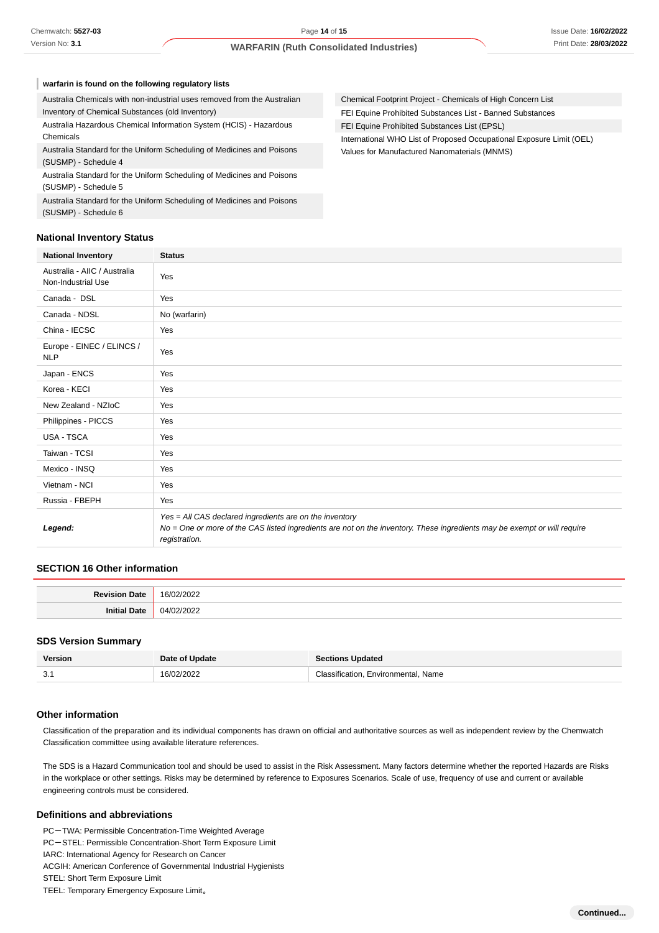| warfarin is found on the following regulatory lists                                            |                                                                      |  |
|------------------------------------------------------------------------------------------------|----------------------------------------------------------------------|--|
| Australia Chemicals with non-industrial uses removed from the Australian                       | Chemical Footprint Project - Chemicals of High Concern List          |  |
| Inventory of Chemical Substances (old Inventory)                                               | FEI Equine Prohibited Substances List - Banned Substances            |  |
| Australia Hazardous Chemical Information System (HCIS) - Hazardous                             | FEI Equine Prohibited Substances List (EPSL)                         |  |
| Chemicals                                                                                      | International WHO List of Proposed Occupational Exposure Limit (OEL) |  |
| Australia Standard for the Uniform Scheduling of Medicines and Poisons<br>(SUSMP) - Schedule 4 | Values for Manufactured Nanomaterials (MNMS)                         |  |
| Australia Standard for the Uniform Scheduling of Medicines and Poisons<br>(SUSMP) - Schedule 5 |                                                                      |  |
| Australia Standard for the Uniform Scheduling of Medicines and Poisons<br>(SUSMP) - Schedule 6 |                                                                      |  |

#### **National Inventory Status**

| <b>National Inventory</b>                          | <b>Status</b>                                                                                                                                                                                        |
|----------------------------------------------------|------------------------------------------------------------------------------------------------------------------------------------------------------------------------------------------------------|
| Australia - AIIC / Australia<br>Non-Industrial Use | Yes                                                                                                                                                                                                  |
| Canada - DSL                                       | Yes                                                                                                                                                                                                  |
| Canada - NDSL                                      | No (warfarin)                                                                                                                                                                                        |
| China - IECSC                                      | Yes                                                                                                                                                                                                  |
| Europe - EINEC / ELINCS /<br><b>NLP</b>            | Yes                                                                                                                                                                                                  |
| Japan - ENCS                                       | Yes                                                                                                                                                                                                  |
| Korea - KECI                                       | Yes                                                                                                                                                                                                  |
| New Zealand - NZIoC                                | Yes                                                                                                                                                                                                  |
| Philippines - PICCS                                | Yes                                                                                                                                                                                                  |
| USA - TSCA                                         | Yes                                                                                                                                                                                                  |
| Taiwan - TCSI                                      | Yes                                                                                                                                                                                                  |
| Mexico - INSQ                                      | Yes                                                                                                                                                                                                  |
| Vietnam - NCI                                      | Yes                                                                                                                                                                                                  |
| Russia - FBEPH                                     | Yes                                                                                                                                                                                                  |
| Legend:                                            | Yes = All CAS declared ingredients are on the inventory<br>No = One or more of the CAS listed ingredients are not on the inventory. These ingredients may be exempt or will require<br>registration. |

#### **SECTION 16 Other information**

| м |
|---|

#### **SDS Version Summary**

| <b>Version</b> | Date of Update | <b>Sections Updated</b>             |
|----------------|----------------|-------------------------------------|
| J.             | 16/02/2022     | Classification, Environmental, Name |

#### **Other information**

Classification of the preparation and its individual components has drawn on official and authoritative sources as well as independent review by the Chemwatch Classification committee using available literature references.

The SDS is a Hazard Communication tool and should be used to assist in the Risk Assessment. Many factors determine whether the reported Hazards are Risks in the workplace or other settings. Risks may be determined by reference to Exposures Scenarios. Scale of use, frequency of use and current or available engineering controls must be considered.

#### **Definitions and abbreviations**

PC-TWA: Permissible Concentration-Time Weighted Average PC-STEL: Permissible Concentration-Short Term Exposure Limit IARC: International Agency for Research on Cancer ACGIH: American Conference of Governmental Industrial Hygienists STEL: Short Term Exposure Limit TEEL: Temporary Emergency Exposure Limit。